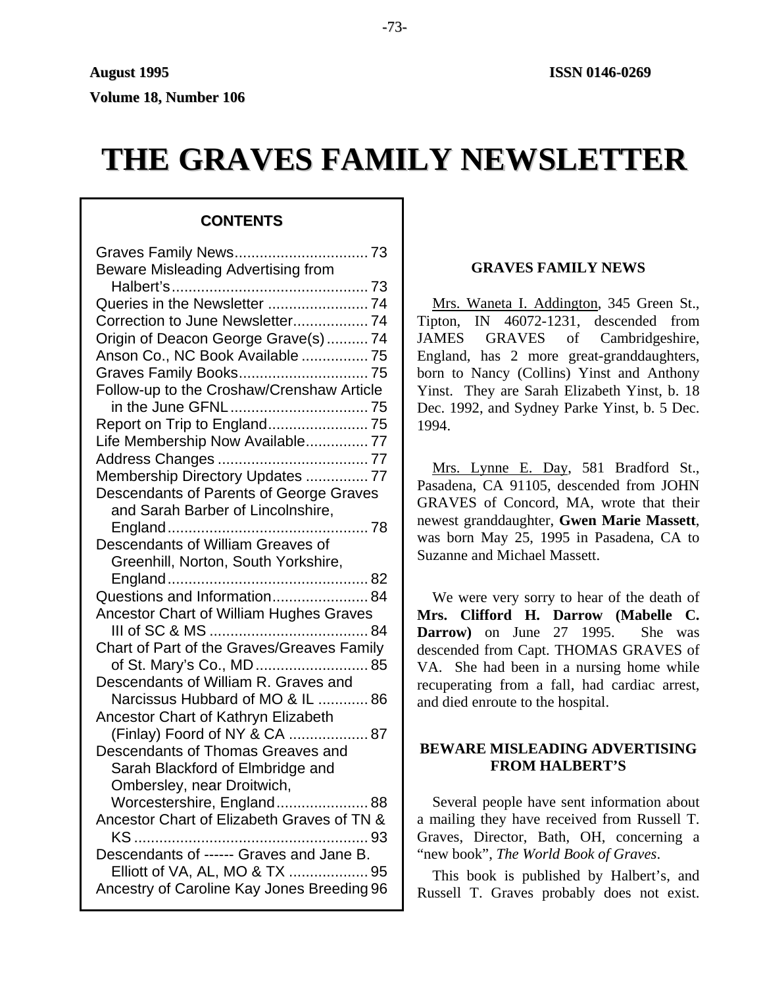**Volume 18, Number 106**

# **THE GRAVES FAMILY NEWSLETTER**

# **CONTENTS**

| Beware Misleading Advertising from         |  |
|--------------------------------------------|--|
|                                            |  |
|                                            |  |
|                                            |  |
| Origin of Deacon George Grave(s)74         |  |
| Anson Co., NC Book Available  75           |  |
| Graves Family Books 75                     |  |
| Follow-up to the Croshaw/Crenshaw Article  |  |
|                                            |  |
| Report on Trip to England 75               |  |
| Life Membership Now Available 77           |  |
|                                            |  |
| Membership Directory Updates  77           |  |
| Descendants of Parents of George Graves    |  |
| and Sarah Barber of Lincolnshire,          |  |
|                                            |  |
| Descendants of William Greaves of          |  |
| Greenhill, Norton, South Yorkshire,        |  |
| Questions and Information 84               |  |
|                                            |  |
| Ancestor Chart of William Hughes Graves    |  |
| Chart of Part of the Graves/Greaves Family |  |
| of St. Mary's Co., MD 85                   |  |
| Descendants of William R. Graves and       |  |
| Narcissus Hubbard of MO & IL  86           |  |
| Ancestor Chart of Kathryn Elizabeth        |  |
| (Finlay) Foord of NY & CA  87              |  |
| Descendants of Thomas Greaves and          |  |
| Sarah Blackford of Elmbridge and           |  |
| Ombersley, near Droitwich,                 |  |
| Worcestershire, England 88                 |  |
| Ancestor Chart of Elizabeth Graves of TN & |  |
|                                            |  |
| Descendants of ------ Graves and Jane B.   |  |
| Elliott of VA, AL, MO & TX  95             |  |
| Ancestry of Caroline Kay Jones Breeding 96 |  |

# **GRAVES FAMILY NEWS**

Mrs. Waneta I. Addington, 345 Green St., Tipton, IN 46072-1231, descended from JAMES GRAVES of Cambridgeshire, England, has 2 more great-granddaughters, born to Nancy (Collins) Yinst and Anthony Yinst. They are Sarah Elizabeth Yinst, b. 18 Dec. 1992, and Sydney Parke Yinst, b. 5 Dec. 1994.

Mrs. Lynne E. Day, 581 Bradford St., Pasadena, CA 91105, descended from JOHN GRAVES of Concord, MA, wrote that their newest granddaughter, **Gwen Marie Massett**, was born May 25, 1995 in Pasadena, CA to Suzanne and Michael Massett.

We were very sorry to hear of the death of **Mrs. Clifford H. Darrow (Mabelle C. Darrow)** on June 27 1995. She was descended from Capt. THOMAS GRAVES of VA. She had been in a nursing home while recuperating from a fall, had cardiac arrest, and died enroute to the hospital.

# **BEWARE MISLEADING ADVERTISING FROM HALBERT'S**

Several people have sent information about a mailing they have received from Russell T. Graves, Director, Bath, OH, concerning a "new book", *The World Book of Graves*.

This book is published by Halbert's, and Russell T. Graves probably does not exist.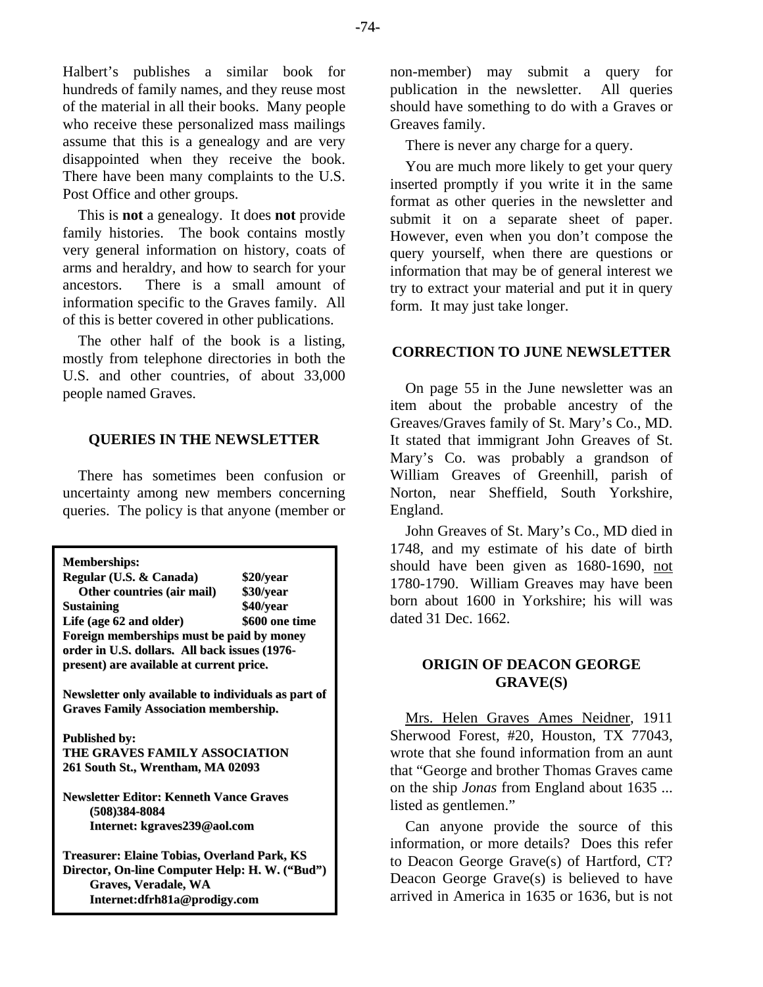Halbert's publishes a similar book for hundreds of family names, and they reuse most of the material in all their books. Many people who receive these personalized mass mailings assume that this is a genealogy and are very disappointed when they receive the book. There have been many complaints to the U.S. Post Office and other groups.

This is **not** a genealogy. It does **not** provide family histories. The book contains mostly very general information on history, coats of arms and heraldry, and how to search for your ancestors. There is a small amount of information specific to the Graves family. All of this is better covered in other publications.

The other half of the book is a listing, mostly from telephone directories in both the U.S. and other countries, of about 33,000 people named Graves.

#### **QUERIES IN THE NEWSLETTER**

There has sometimes been confusion or uncertainty among new members concerning queries. The policy is that anyone (member or

| <b>Memberships:</b>                                 |                |  |  |  |  |
|-----------------------------------------------------|----------------|--|--|--|--|
| Regular (U.S. & Canada)                             | \$20/year      |  |  |  |  |
| Other countries (air mail)                          | \$30/year      |  |  |  |  |
| Sustaining                                          | \$40/year      |  |  |  |  |
| Life (age 62 and older)                             | \$600 one time |  |  |  |  |
| Foreign memberships must be paid by money           |                |  |  |  |  |
| order in U.S. dollars. All back issues (1976-       |                |  |  |  |  |
| present) are available at current price.            |                |  |  |  |  |
|                                                     |                |  |  |  |  |
| Newsletter only available to individuals as part of |                |  |  |  |  |
| <b>Graves Family Association membership.</b>        |                |  |  |  |  |
|                                                     |                |  |  |  |  |
| <b>Published by:</b>                                |                |  |  |  |  |
| THE GRAVES FAMILY ASSOCIATION                       |                |  |  |  |  |
| 261 South St., Wrentham, MA 02093                   |                |  |  |  |  |
|                                                     |                |  |  |  |  |
| <b>Newsletter Editor: Kenneth Vance Graves</b>      |                |  |  |  |  |
| (508)384-8084                                       |                |  |  |  |  |
| Internet: kgraves239@aol.com                        |                |  |  |  |  |
|                                                     |                |  |  |  |  |
| Treasurer: Elaine Tobias, Overland Park, KS         |                |  |  |  |  |
| Director, On-line Computer Help: H. W. ("Bud")      |                |  |  |  |  |
| Graves, Veradale, WA                                |                |  |  |  |  |
| Internet:dfrh81a@prodigy.com                        |                |  |  |  |  |
|                                                     |                |  |  |  |  |

non-member) may submit a query for publication in the newsletter. All queries should have something to do with a Graves or Greaves family.

There is never any charge for a query.

You are much more likely to get your query inserted promptly if you write it in the same format as other queries in the newsletter and submit it on a separate sheet of paper. However, even when you don't compose the query yourself, when there are questions or information that may be of general interest we try to extract your material and put it in query form. It may just take longer.

## **CORRECTION TO JUNE NEWSLETTER**

On page 55 in the June newsletter was an item about the probable ancestry of the Greaves/Graves family of St. Mary's Co., MD. It stated that immigrant John Greaves of St. Mary's Co. was probably a grandson of William Greaves of Greenhill, parish of Norton, near Sheffield, South Yorkshire, England.

John Greaves of St. Mary's Co., MD died in 1748, and my estimate of his date of birth should have been given as 1680-1690, not 1780-1790. William Greaves may have been born about 1600 in Yorkshire; his will was dated 31 Dec. 1662.

# **ORIGIN OF DEACON GEORGE GRAVE(S)**

Mrs. Helen Graves Ames Neidner, 1911 Sherwood Forest, #20, Houston, TX 77043, wrote that she found information from an aunt that "George and brother Thomas Graves came on the ship *Jonas* from England about 1635 ... listed as gentlemen."

Can anyone provide the source of this information, or more details? Does this refer to Deacon George Grave(s) of Hartford, CT? Deacon George Grave(s) is believed to have arrived in America in 1635 or 1636, but is not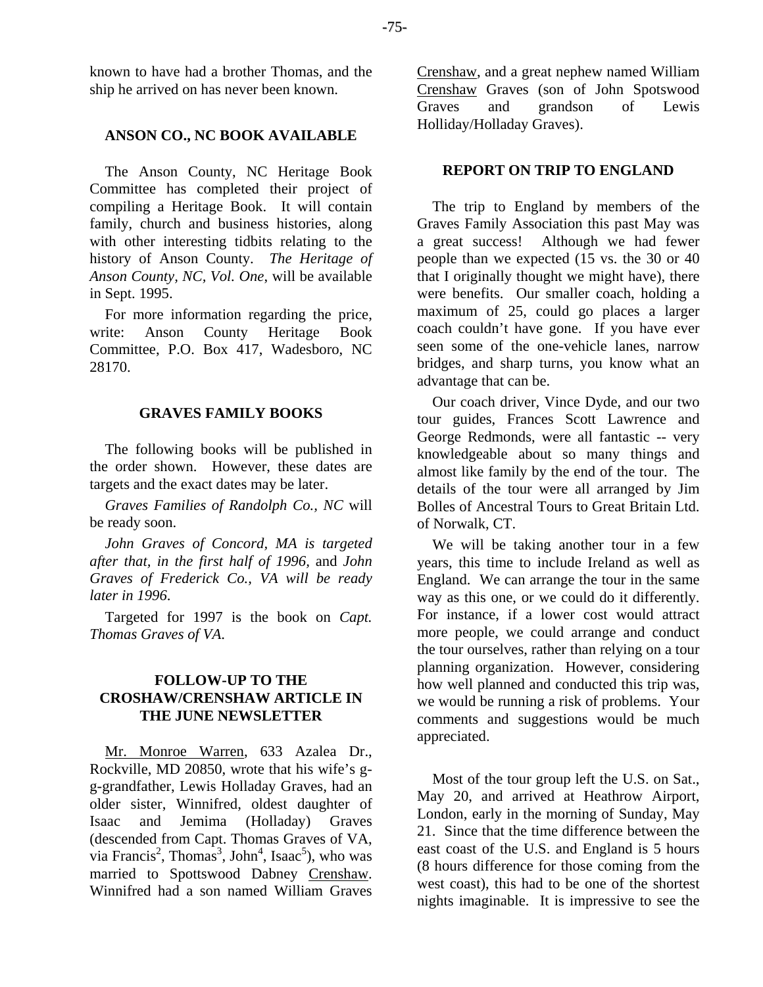known to have had a brother Thomas, and the ship he arrived on has never been known.

## **ANSON CO., NC BOOK AVAILABLE**

The Anson County, NC Heritage Book Committee has completed their project of compiling a Heritage Book. It will contain family, church and business histories, along with other interesting tidbits relating to the history of Anson County. *The Heritage of Anson County, NC, Vol. One*, will be available in Sept. 1995.

For more information regarding the price, write: Anson County Heritage Book Committee, P.O. Box 417, Wadesboro, NC 28170.

## **GRAVES FAMILY BOOKS**

The following books will be published in the order shown. However, these dates are targets and the exact dates may be later.

*Graves Families of Randolph Co., NC* will be ready soon.

*John Graves of Concord, MA is targeted after that, in the first half of 1996,* and *John Graves of Frederick Co., VA will be ready later in 1996*.

Targeted for 1997 is the book on *Capt. Thomas Graves of VA*.

# **FOLLOW-UP TO THE CROSHAW/CRENSHAW ARTICLE IN THE JUNE NEWSLETTER**

Mr. Monroe Warren, 633 Azalea Dr., Rockville, MD 20850, wrote that his wife's gg-grandfather, Lewis Holladay Graves, had an older sister, Winnifred, oldest daughter of Isaac and Jemima (Holladay) Graves (descended from Capt. Thomas Graves of VA, via Francis<sup>2</sup>, Thomas<sup>3</sup>, John<sup>4</sup>, Isaac<sup>5</sup>), who was married to Spottswood Dabney Crenshaw. Winnifred had a son named William Graves

Crenshaw, and a great nephew named William Crenshaw Graves (son of John Spotswood Graves and grandson of Lewis Holliday/Holladay Graves).

## **REPORT ON TRIP TO ENGLAND**

The trip to England by members of the Graves Family Association this past May was a great success! Although we had fewer people than we expected (15 vs. the 30 or 40 that I originally thought we might have), there were benefits. Our smaller coach, holding a maximum of 25, could go places a larger coach couldn't have gone. If you have ever seen some of the one-vehicle lanes, narrow bridges, and sharp turns, you know what an advantage that can be.

Our coach driver, Vince Dyde, and our two tour guides, Frances Scott Lawrence and George Redmonds, were all fantastic -- very knowledgeable about so many things and almost like family by the end of the tour. The details of the tour were all arranged by Jim Bolles of Ancestral Tours to Great Britain Ltd. of Norwalk, CT.

We will be taking another tour in a few years, this time to include Ireland as well as England. We can arrange the tour in the same way as this one, or we could do it differently. For instance, if a lower cost would attract more people, we could arrange and conduct the tour ourselves, rather than relying on a tour planning organization. However, considering how well planned and conducted this trip was, we would be running a risk of problems. Your comments and suggestions would be much appreciated.

Most of the tour group left the U.S. on Sat., May 20, and arrived at Heathrow Airport, London, early in the morning of Sunday, May 21. Since that the time difference between the east coast of the U.S. and England is 5 hours (8 hours difference for those coming from the west coast), this had to be one of the shortest nights imaginable. It is impressive to see the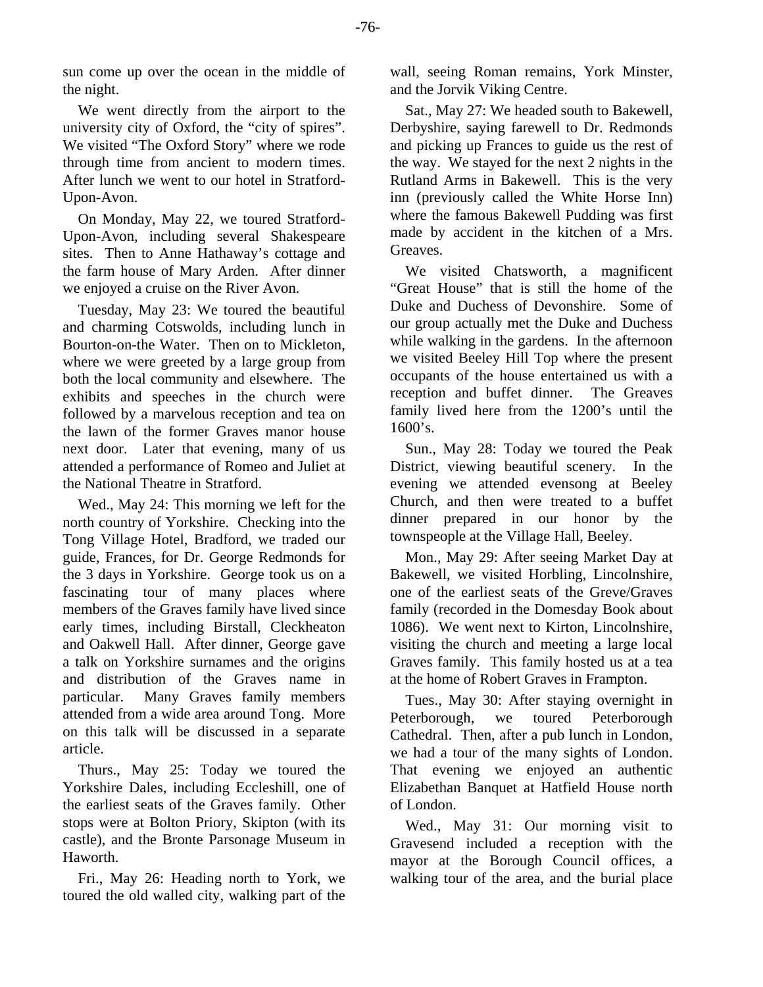sun come up over the ocean in the middle of the night.

We went directly from the airport to the university city of Oxford, the "city of spires". We visited "The Oxford Story" where we rode through time from ancient to modern times. After lunch we went to our hotel in Stratford-Upon-Avon.

On Monday, May 22, we toured Stratford-Upon-Avon, including several Shakespeare sites. Then to Anne Hathaway's cottage and the farm house of Mary Arden. After dinner we enjoyed a cruise on the River Avon.

Tuesday, May 23: We toured the beautiful and charming Cotswolds, including lunch in Bourton-on-the Water. Then on to Mickleton, where we were greeted by a large group from both the local community and elsewhere. The exhibits and speeches in the church were followed by a marvelous reception and tea on the lawn of the former Graves manor house next door. Later that evening, many of us attended a performance of Romeo and Juliet at the National Theatre in Stratford.

Wed., May 24: This morning we left for the north country of Yorkshire. Checking into the Tong Village Hotel, Bradford, we traded our guide, Frances, for Dr. George Redmonds for the 3 days in Yorkshire. George took us on a fascinating tour of many places where members of the Graves family have lived since early times, including Birstall, Cleckheaton and Oakwell Hall. After dinner, George gave a talk on Yorkshire surnames and the origins and distribution of the Graves name in particular. Many Graves family members attended from a wide area around Tong. More on this talk will be discussed in a separate article.

Thurs., May 25: Today we toured the Yorkshire Dales, including Eccleshill, one of the earliest seats of the Graves family. Other stops were at Bolton Priory, Skipton (with its castle), and the Bronte Parsonage Museum in Haworth.

Fri., May 26: Heading north to York, we toured the old walled city, walking part of the wall, seeing Roman remains, York Minster, and the Jorvik Viking Centre.

Sat., May 27: We headed south to Bakewell, Derbyshire, saying farewell to Dr. Redmonds and picking up Frances to guide us the rest of the way. We stayed for the next 2 nights in the Rutland Arms in Bakewell. This is the very inn (previously called the White Horse Inn) where the famous Bakewell Pudding was first made by accident in the kitchen of a Mrs. Greaves.

We visited Chatsworth, a magnificent "Great House" that is still the home of the Duke and Duchess of Devonshire. Some of our group actually met the Duke and Duchess while walking in the gardens. In the afternoon we visited Beeley Hill Top where the present occupants of the house entertained us with a reception and buffet dinner. The Greaves family lived here from the 1200's until the  $1600's.$ 

Sun., May 28: Today we toured the Peak District, viewing beautiful scenery. In the evening we attended evensong at Beeley Church, and then were treated to a buffet dinner prepared in our honor by the townspeople at the Village Hall, Beeley.

Mon., May 29: After seeing Market Day at Bakewell, we visited Horbling, Lincolnshire, one of the earliest seats of the Greve/Graves family (recorded in the Domesday Book about 1086). We went next to Kirton, Lincolnshire, visiting the church and meeting a large local Graves family. This family hosted us at a tea at the home of Robert Graves in Frampton.

Tues., May 30: After staying overnight in Peterborough, we toured Peterborough Cathedral. Then, after a pub lunch in London, we had a tour of the many sights of London. That evening we enjoyed an authentic Elizabethan Banquet at Hatfield House north of London.

Wed., May 31: Our morning visit to Gravesend included a reception with the mayor at the Borough Council offices, a walking tour of the area, and the burial place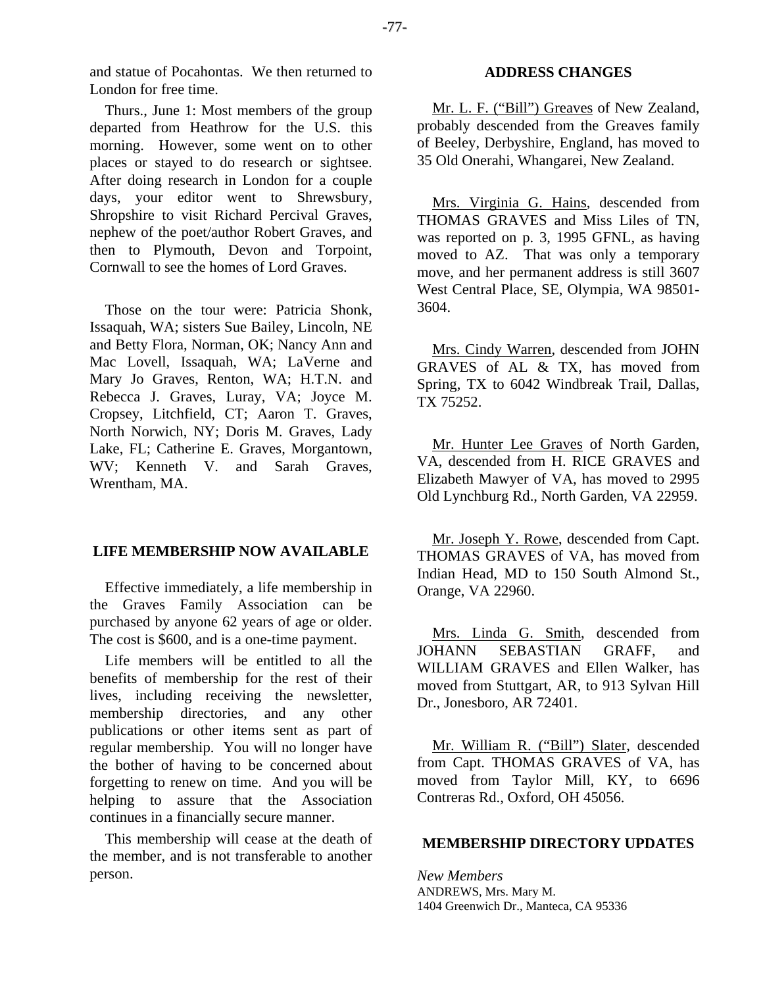Thurs., June 1: Most members of the group departed from Heathrow for the U.S. this morning. However, some went on to other places or stayed to do research or sightsee. After doing research in London for a couple days, your editor went to Shrewsbury, Shropshire to visit Richard Percival Graves, nephew of the poet/author Robert Graves, and then to Plymouth, Devon and Torpoint, Cornwall to see the homes of Lord Graves.

Those on the tour were: Patricia Shonk, Issaquah, WA; sisters Sue Bailey, Lincoln, NE and Betty Flora, Norman, OK; Nancy Ann and Mac Lovell, Issaquah, WA; LaVerne and Mary Jo Graves, Renton, WA; H.T.N. and Rebecca J. Graves, Luray, VA; Joyce M. Cropsey, Litchfield, CT; Aaron T. Graves, North Norwich, NY; Doris M. Graves, Lady Lake, FL; Catherine E. Graves, Morgantown, WV; Kenneth V. and Sarah Graves, Wrentham, MA.

# **LIFE MEMBERSHIP NOW AVAILABLE**

Effective immediately, a life membership in the Graves Family Association can be purchased by anyone 62 years of age or older. The cost is \$600, and is a one-time payment.

Life members will be entitled to all the benefits of membership for the rest of their lives, including receiving the newsletter, membership directories, and any other publications or other items sent as part of regular membership. You will no longer have the bother of having to be concerned about forgetting to renew on time. And you will be helping to assure that the Association continues in a financially secure manner.

This membership will cease at the death of the member, and is not transferable to another person.

## **ADDRESS CHANGES**

Mr. L. F. ("Bill") Greaves of New Zealand, probably descended from the Greaves family of Beeley, Derbyshire, England, has moved to 35 Old Onerahi, Whangarei, New Zealand.

Mrs. Virginia G. Hains, descended from THOMAS GRAVES and Miss Liles of TN, was reported on p. 3, 1995 GFNL, as having moved to AZ. That was only a temporary move, and her permanent address is still 3607 West Central Place, SE, Olympia, WA 98501- 3604.

Mrs. Cindy Warren, descended from JOHN GRAVES of AL & TX, has moved from Spring, TX to 6042 Windbreak Trail, Dallas, TX 75252.

Mr. Hunter Lee Graves of North Garden, VA, descended from H. RICE GRAVES and Elizabeth Mawyer of VA, has moved to 2995 Old Lynchburg Rd., North Garden, VA 22959.

Mr. Joseph Y. Rowe, descended from Capt. THOMAS GRAVES of VA, has moved from Indian Head, MD to 150 South Almond St., Orange, VA 22960.

Mrs. Linda G. Smith, descended from JOHANN SEBASTIAN GRAFF, and WILLIAM GRAVES and Ellen Walker, has moved from Stuttgart, AR, to 913 Sylvan Hill Dr., Jonesboro, AR 72401.

Mr. William R. ("Bill") Slater, descended from Capt. THOMAS GRAVES of VA, has moved from Taylor Mill, KY, to 6696 Contreras Rd., Oxford, OH 45056.

# **MEMBERSHIP DIRECTORY UPDATES**

*New Members*  ANDREWS, Mrs. Mary M. 1404 Greenwich Dr., Manteca, CA 95336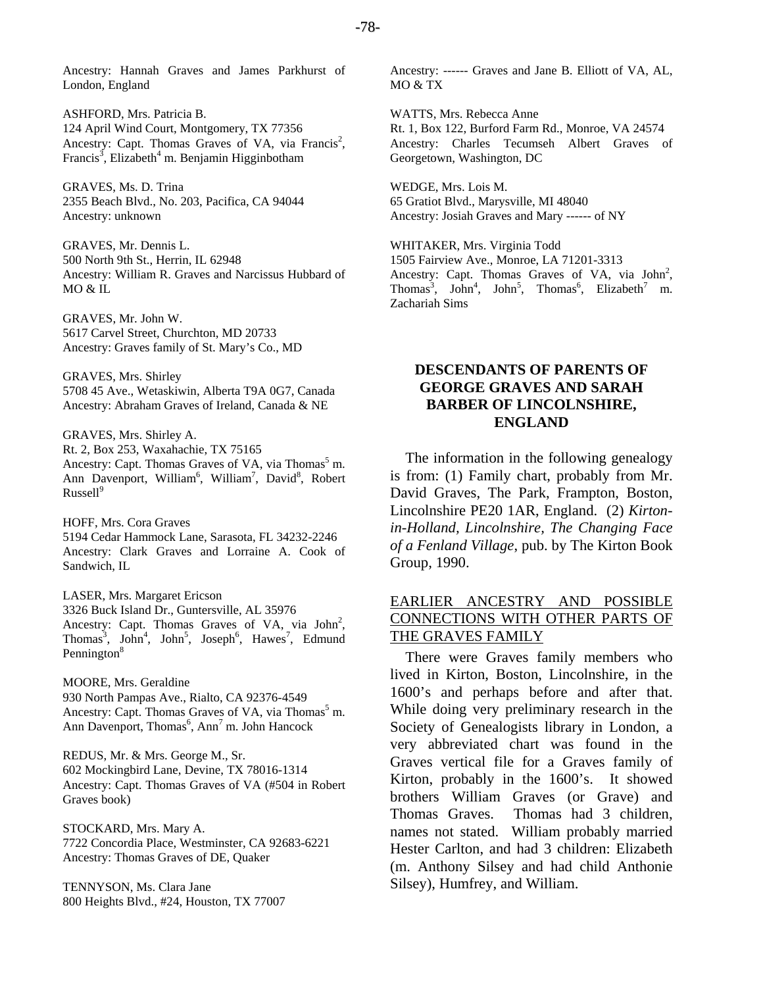Ancestry: Hannah Graves and James Parkhurst of London, England

ASHFORD, Mrs. Patricia B. 124 April Wind Court, Montgomery, TX 77356 Ancestry: Capt. Thomas Graves of VA, via Francis<sup>2</sup>, Francis<sup>3</sup>, Elizabeth<sup>4</sup> m. Benjamin Higginbotham

GRAVES, Ms. D. Trina 2355 Beach Blvd., No. 203, Pacifica, CA 94044 Ancestry: unknown

GRAVES, Mr. Dennis L. 500 North 9th St., Herrin, IL 62948 Ancestry: William R. Graves and Narcissus Hubbard of MO & IL

GRAVES, Mr. John W. 5617 Carvel Street, Churchton, MD 20733 Ancestry: Graves family of St. Mary's Co., MD

GRAVES, Mrs. Shirley 5708 45 Ave., Wetaskiwin, Alberta T9A 0G7, Canada Ancestry: Abraham Graves of Ireland, Canada & NE

GRAVES, Mrs. Shirley A. Rt. 2, Box 253, Waxahachie, TX 75165 Ancestry: Capt. Thomas Graves of VA, via Thomas<sup>5</sup> m. Ann Davenport, William<sup>6</sup>, William<sup>7</sup>, David<sup>8</sup>, Robert  $Russell<sup>9</sup>$ 

HOFF, Mrs. Cora Graves 5194 Cedar Hammock Lane, Sarasota, FL 34232-2246 Ancestry: Clark Graves and Lorraine A. Cook of Sandwich, IL

LASER, Mrs. Margaret Ericson 3326 Buck Island Dr., Guntersville, AL 35976 Ancestry: Capt. Thomas Graves of VA, via  $John<sup>2</sup>$ , Thomas<sup>3</sup>, John<sup>4</sup>, John<sup>5</sup>, Joseph<sup>6</sup>, Hawes<sup>7</sup>, Edmund Pennington<sup>8</sup>

MOORE, Mrs. Geraldine 930 North Pampas Ave., Rialto, CA 92376-4549 Ancestry: Capt. Thomas Graves of VA, via Thomas<sup>5</sup> m. Ann Davenport, Thomas<sup>6</sup>, Ann<sup>7</sup> m. John Hancock

REDUS, Mr. & Mrs. George M., Sr. 602 Mockingbird Lane, Devine, TX 78016-1314 Ancestry: Capt. Thomas Graves of VA (#504 in Robert Graves book)

STOCKARD, Mrs. Mary A. 7722 Concordia Place, Westminster, CA 92683-6221 Ancestry: Thomas Graves of DE, Quaker

TENNYSON, Ms. Clara Jane 800 Heights Blvd., #24, Houston, TX 77007 Ancestry: ------ Graves and Jane B. Elliott of VA, AL, MO & TX

WATTS, Mrs. Rebecca Anne Rt. 1, Box 122, Burford Farm Rd., Monroe, VA 24574 Ancestry: Charles Tecumseh Albert Graves of Georgetown, Washington, DC

WEDGE, Mrs. Lois M. 65 Gratiot Blvd., Marysville, MI 48040 Ancestry: Josiah Graves and Mary ------ of NY

WHITAKER, Mrs. Virginia Todd 1505 Fairview Ave., Monroe, LA 71201-3313 Ancestry: Capt. Thomas Graves of VA, via  $John<sup>2</sup>$ , Thomas<sup>3</sup>, John<sup>4</sup>, John<sup>5</sup>, Thomas<sup>6</sup>, Elizabeth<sup>7</sup> m. Zachariah Sims

# **DESCENDANTS OF PARENTS OF GEORGE GRAVES AND SARAH BARBER OF LINCOLNSHIRE, ENGLAND**

The information in the following genealogy is from: (1) Family chart, probably from Mr. David Graves, The Park, Frampton, Boston, Lincolnshire PE20 1AR, England. (2) *Kirtonin-Holland, Lincolnshire, The Changing Face of a Fenland Village*, pub. by The Kirton Book Group, 1990.

# EARLIER ANCESTRY AND POSSIBLE CONNECTIONS WITH OTHER PARTS OF THE GRAVES FAMILY

There were Graves family members who lived in Kirton, Boston, Lincolnshire, in the 1600's and perhaps before and after that. While doing very preliminary research in the Society of Genealogists library in London, a very abbreviated chart was found in the Graves vertical file for a Graves family of Kirton, probably in the 1600's. It showed brothers William Graves (or Grave) and Thomas Graves. Thomas had 3 children, names not stated. William probably married Hester Carlton, and had 3 children: Elizabeth (m. Anthony Silsey and had child Anthonie Silsey), Humfrey, and William.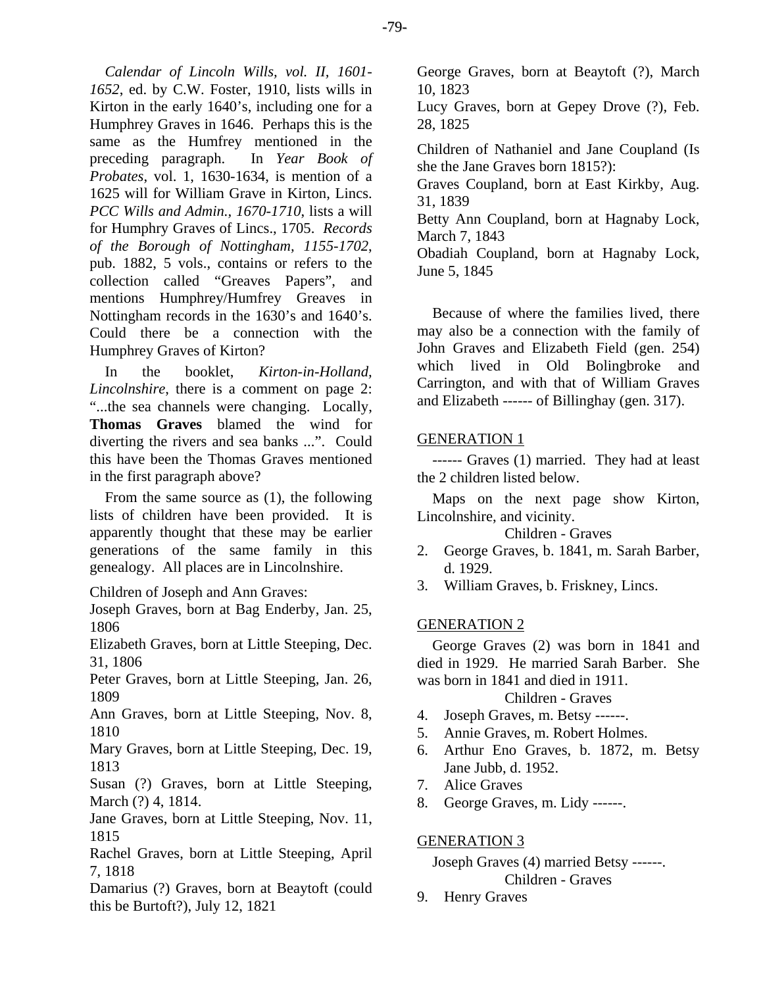*Calendar of Lincoln Wills, vol. II, 1601- 1652*, ed. by C.W. Foster, 1910, lists wills in Kirton in the early 1640's, including one for a Humphrey Graves in 1646. Perhaps this is the same as the Humfrey mentioned in the preceding paragraph. In *Year Book of Probates*, vol. 1, 1630-1634, is mention of a 1625 will for William Grave in Kirton, Lincs. *PCC Wills and Admin., 1670-1710*, lists a will for Humphry Graves of Lincs., 1705. *Records of the Borough of Nottingham, 1155-1702*, pub. 1882, 5 vols., contains or refers to the collection called "Greaves Papers", and mentions Humphrey/Humfrey Greaves in Nottingham records in the 1630's and 1640's. Could there be a connection with the Humphrey Graves of Kirton?

In the booklet, *Kirton-in-Holland, Lincolnshire*, there is a comment on page 2: "...the sea channels were changing. Locally, **Thomas Graves** blamed the wind for diverting the rivers and sea banks ...". Could this have been the Thomas Graves mentioned in the first paragraph above?

From the same source as (1), the following lists of children have been provided. It is apparently thought that these may be earlier generations of the same family in this genealogy. All places are in Lincolnshire.

Children of Joseph and Ann Graves:

Joseph Graves, born at Bag Enderby, Jan. 25, 1806

Elizabeth Graves, born at Little Steeping, Dec. 31, 1806

Peter Graves, born at Little Steeping, Jan. 26, 1809

Ann Graves, born at Little Steeping, Nov. 8, 1810

Mary Graves, born at Little Steeping, Dec. 19, 1813

Susan (?) Graves, born at Little Steeping, March (?) 4, 1814.

Jane Graves, born at Little Steeping, Nov. 11, 1815

Rachel Graves, born at Little Steeping, April 7, 1818

Damarius (?) Graves, born at Beaytoft (could this be Burtoft?), July 12, 1821

George Graves, born at Beaytoft (?), March 10, 1823

Lucy Graves, born at Gepey Drove (?), Feb. 28, 1825

Children of Nathaniel and Jane Coupland (Is she the Jane Graves born 1815?):

Graves Coupland, born at East Kirkby, Aug. 31, 1839

Betty Ann Coupland, born at Hagnaby Lock, March 7, 1843

Obadiah Coupland, born at Hagnaby Lock, June 5, 1845

Because of where the families lived, there may also be a connection with the family of John Graves and Elizabeth Field (gen. 254) which lived in Old Bolingbroke and Carrington, and with that of William Graves and Elizabeth ------ of Billinghay (gen. 317).

# GENERATION 1

------ Graves (1) married. They had at least the 2 children listed below.

Maps on the next page show Kirton, Lincolnshire, and vicinity.

Children - Graves

- 2. George Graves, b. 1841, m. Sarah Barber, d. 1929.
- 3. William Graves, b. Friskney, Lincs.

# GENERATION 2

George Graves (2) was born in 1841 and died in 1929. He married Sarah Barber. She was born in 1841 and died in 1911.

# Children - Graves

- 4. Joseph Graves, m. Betsy ------.
- 5. Annie Graves, m. Robert Holmes.
- 6. Arthur Eno Graves, b. 1872, m. Betsy Jane Jubb, d. 1952.
- 7. Alice Graves
- 8. George Graves, m. Lidy ------.

# GENERATION 3

Joseph Graves (4) married Betsy ------. Children - Graves

9. Henry Graves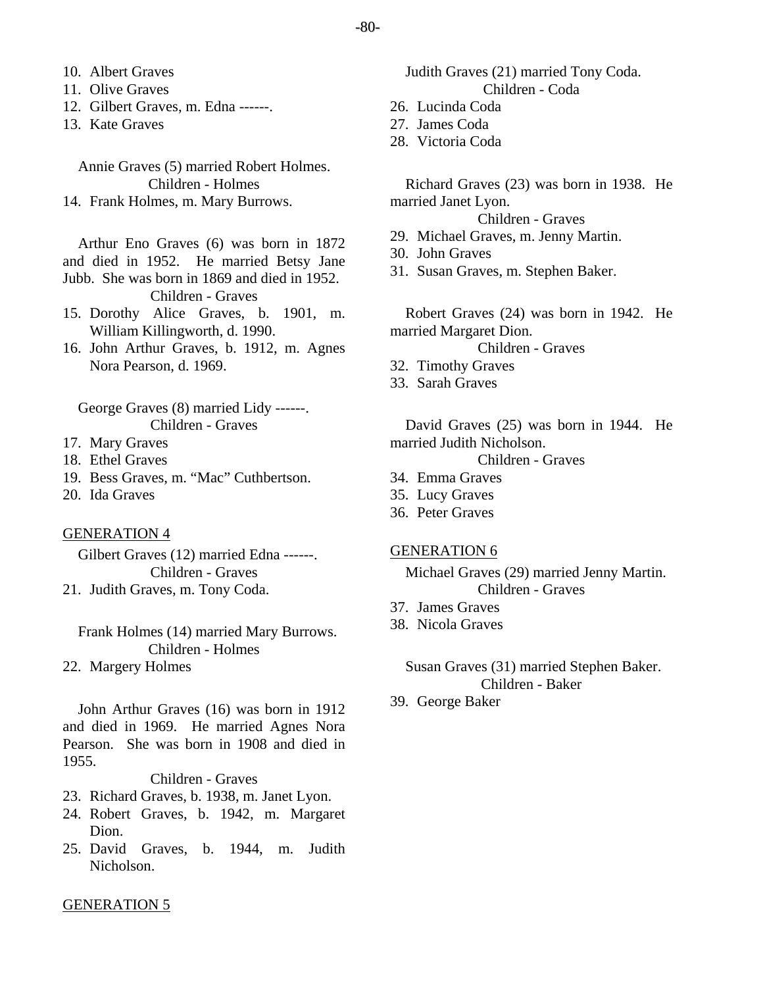- 10. Albert Graves
- 11. Olive Graves
- 12. Gilbert Graves, m. Edna ------.
- 13. Kate Graves

Annie Graves (5) married Robert Holmes. Children - Holmes 14. Frank Holmes, m. Mary Burrows.

Arthur Eno Graves (6) was born in 1872 and died in 1952. He married Betsy Jane Jubb. She was born in 1869 and died in 1952.

Children - Graves

- 15. Dorothy Alice Graves, b. 1901, m. William Killingworth, d. 1990.
- 16. John Arthur Graves, b. 1912, m. Agnes Nora Pearson, d. 1969.

George Graves (8) married Lidy ------. Children - Graves

- 17. Mary Graves
- 18. Ethel Graves
- 19. Bess Graves, m. "Mac" Cuthbertson.
- 20. Ida Graves

## GENERATION 4

Gilbert Graves (12) married Edna ------. Children - Graves 21. Judith Graves, m. Tony Coda.

Frank Holmes (14) married Mary Burrows. Children - Holmes

22. Margery Holmes

John Arthur Graves (16) was born in 1912 and died in 1969. He married Agnes Nora Pearson. She was born in 1908 and died in 1955.

Children - Graves

- 23. Richard Graves, b. 1938, m. Janet Lyon.
- 24. Robert Graves, b. 1942, m. Margaret Dion.
- 25. David Graves, b. 1944, m. Judith Nicholson.

## Judith Graves (21) married Tony Coda. Children - Coda

- 26. Lucinda Coda
- 27. James Coda
- 28. Victoria Coda

Richard Graves (23) was born in 1938. He married Janet Lyon.

Children - Graves

- 29. Michael Graves, m. Jenny Martin.
- 30. John Graves
- 31. Susan Graves, m. Stephen Baker.

Robert Graves (24) was born in 1942. He married Margaret Dion.

Children - Graves

- 32. Timothy Graves
- 33. Sarah Graves

David Graves (25) was born in 1944. He married Judith Nicholson.

Children - Graves

- 34. Emma Graves
- 35. Lucy Graves
- 36. Peter Graves

## GENERATION 6

Michael Graves (29) married Jenny Martin. Children - Graves

- 37. James Graves
- 38. Nicola Graves

# Susan Graves (31) married Stephen Baker. Children - Baker

39. George Baker

## GENERATION 5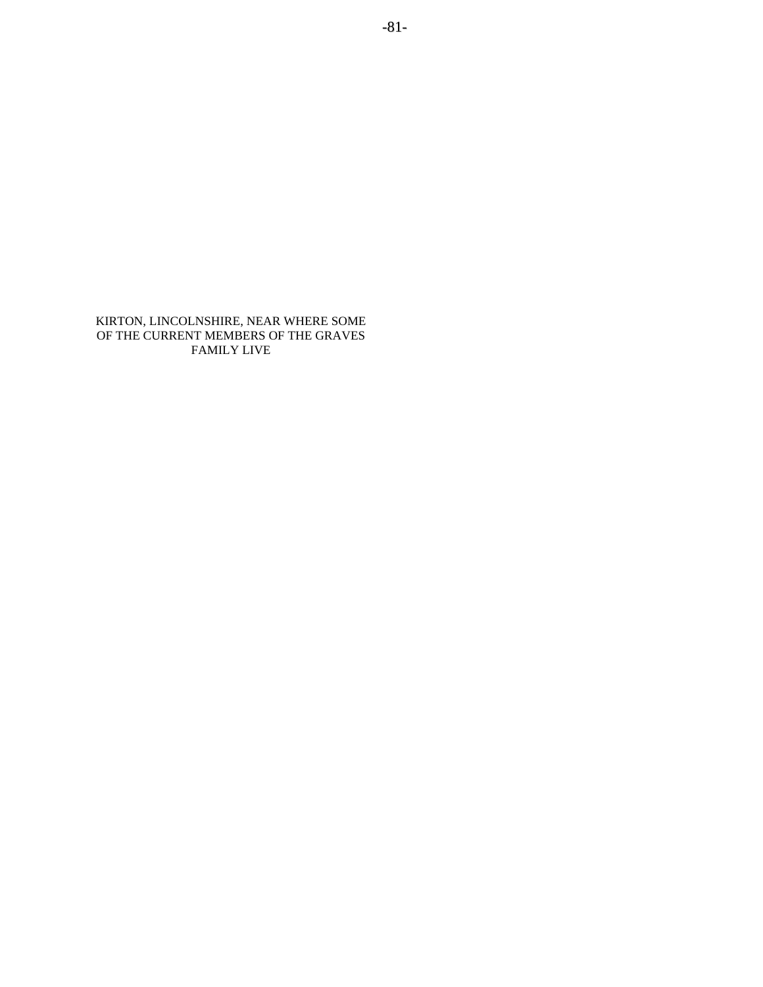KIRTON, LINCOLNSHIRE, NEAR WHERE SOME OF THE CURRENT MEMBERS OF THE GRAVES FAMILY LIVE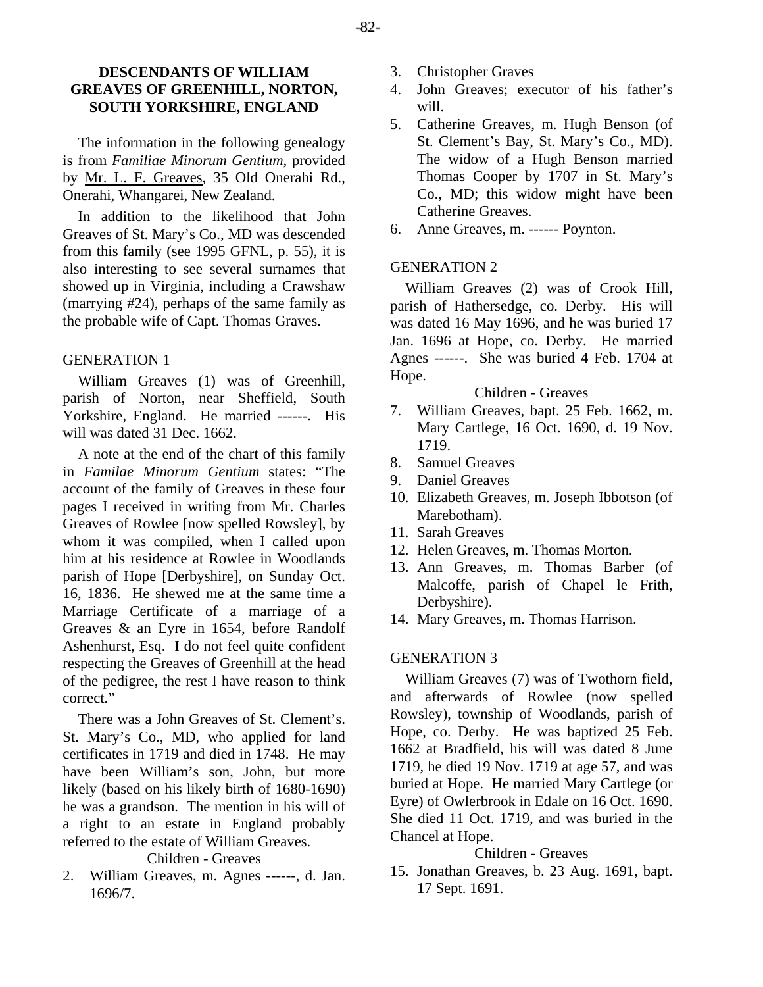# **DESCENDANTS OF WILLIAM GREAVES OF GREENHILL, NORTON, SOUTH YORKSHIRE, ENGLAND**

The information in the following genealogy is from *Familiae Minorum Gentium*, provided by Mr. L. F. Greaves, 35 Old Onerahi Rd., Onerahi, Whangarei, New Zealand.

In addition to the likelihood that John Greaves of St. Mary's Co., MD was descended from this family (see 1995 GFNL, p. 55), it is also interesting to see several surnames that showed up in Virginia, including a Crawshaw (marrying #24), perhaps of the same family as the probable wife of Capt. Thomas Graves.

# GENERATION 1

William Greaves (1) was of Greenhill, parish of Norton, near Sheffield, South Yorkshire, England. He married ------. His will was dated 31 Dec. 1662.

A note at the end of the chart of this family in *Familae Minorum Gentium* states: "The account of the family of Greaves in these four pages I received in writing from Mr. Charles Greaves of Rowlee [now spelled Rowsley], by whom it was compiled, when I called upon him at his residence at Rowlee in Woodlands parish of Hope [Derbyshire], on Sunday Oct. 16, 1836. He shewed me at the same time a Marriage Certificate of a marriage of a Greaves & an Eyre in 1654, before Randolf Ashenhurst, Esq. I do not feel quite confident respecting the Greaves of Greenhill at the head of the pedigree, the rest I have reason to think correct."

There was a John Greaves of St. Clement's. St. Mary's Co., MD, who applied for land certificates in 1719 and died in 1748. He may have been William's son, John, but more likely (based on his likely birth of 1680-1690) he was a grandson. The mention in his will of a right to an estate in England probably referred to the estate of William Greaves.

# Children - Greaves

2. William Greaves, m. Agnes ------, d. Jan. 1696/7.

- 3. Christopher Graves
- 4. John Greaves; executor of his father's will.
- 5. Catherine Greaves, m. Hugh Benson (of St. Clement's Bay, St. Mary's Co., MD). The widow of a Hugh Benson married Thomas Cooper by 1707 in St. Mary's Co., MD; this widow might have been Catherine Greaves.
- 6. Anne Greaves, m. ------ Poynton.

# GENERATION 2

William Greaves (2) was of Crook Hill, parish of Hathersedge, co. Derby. His will was dated 16 May 1696, and he was buried 17 Jan. 1696 at Hope, co. Derby. He married Agnes ------. She was buried 4 Feb. 1704 at Hope.

## Children - Greaves

- 7. William Greaves, bapt. 25 Feb. 1662, m. Mary Cartlege, 16 Oct. 1690, d. 19 Nov. 1719.
- 8. Samuel Greaves
- 9. Daniel Greaves
- 10. Elizabeth Greaves, m. Joseph Ibbotson (of Marebotham).
- 11. Sarah Greaves
- 12. Helen Greaves, m. Thomas Morton.
- 13. Ann Greaves, m. Thomas Barber (of Malcoffe, parish of Chapel le Frith, Derbyshire).
- 14. Mary Greaves, m. Thomas Harrison.

# GENERATION 3

William Greaves (7) was of Twothorn field, and afterwards of Rowlee (now spelled Rowsley), township of Woodlands, parish of Hope, co. Derby. He was baptized 25 Feb. 1662 at Bradfield, his will was dated 8 June 1719, he died 19 Nov. 1719 at age 57, and was buried at Hope. He married Mary Cartlege (or Eyre) of Owlerbrook in Edale on 16 Oct. 1690. She died 11 Oct. 1719, and was buried in the Chancel at Hope.

# Children - Greaves

15. Jonathan Greaves, b. 23 Aug. 1691, bapt. 17 Sept. 1691.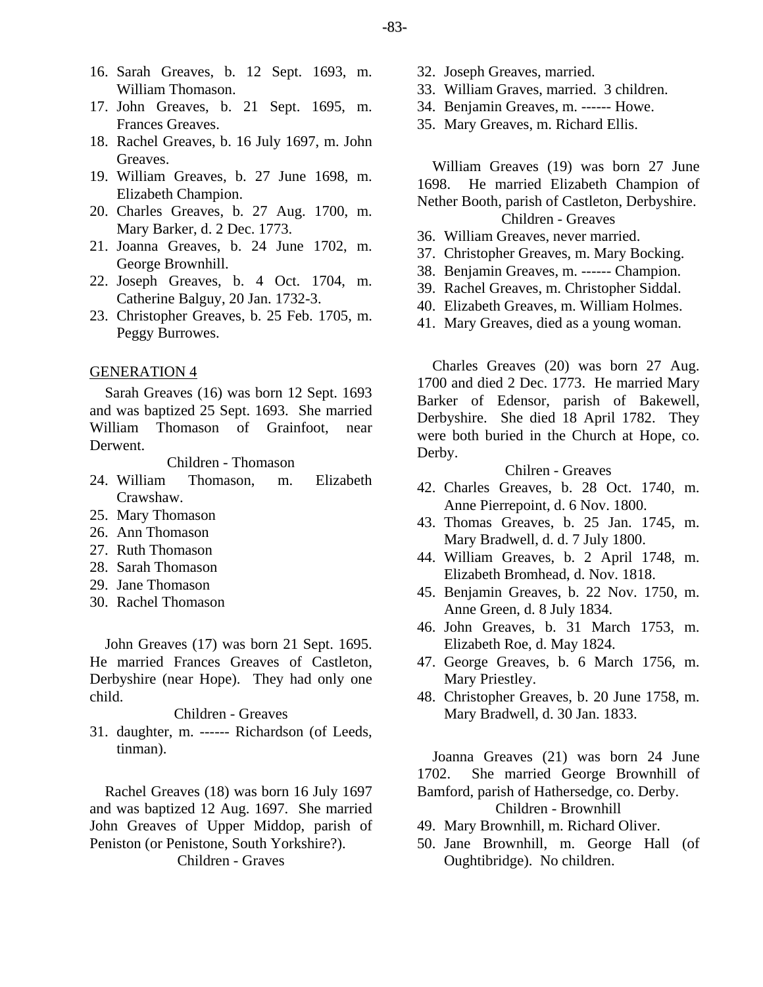-83-

- 16. Sarah Greaves, b. 12 Sept. 1693, m. William Thomason.
- 17. John Greaves, b. 21 Sept. 1695, m. Frances Greaves.
- 18. Rachel Greaves, b. 16 July 1697, m. John Greaves.
- 19. William Greaves, b. 27 June 1698, m. Elizabeth Champion.
- 20. Charles Greaves, b. 27 Aug. 1700, m. Mary Barker, d. 2 Dec. 1773.
- 21. Joanna Greaves, b. 24 June 1702, m. George Brownhill.
- 22. Joseph Greaves, b. 4 Oct. 1704, m. Catherine Balguy, 20 Jan. 1732-3.
- 23. Christopher Greaves, b. 25 Feb. 1705, m. Peggy Burrowes.

## GENERATION 4

Sarah Greaves (16) was born 12 Sept. 1693 and was baptized 25 Sept. 1693. She married William Thomason of Grainfoot, near Derwent.

Children - Thomason

- 24. William Thomason, m. Elizabeth Crawshaw.
- 25. Mary Thomason
- 26. Ann Thomason
- 27. Ruth Thomason
- 28. Sarah Thomason
- 29. Jane Thomason
- 30. Rachel Thomason

John Greaves (17) was born 21 Sept. 1695. He married Frances Greaves of Castleton, Derbyshire (near Hope). They had only one child.

#### Children - Greaves

31. daughter, m. ------ Richardson (of Leeds, tinman).

Rachel Greaves (18) was born 16 July 1697 and was baptized 12 Aug. 1697. She married John Greaves of Upper Middop, parish of Peniston (or Penistone, South Yorkshire?).

Children - Graves

- 32. Joseph Greaves, married.
- 33. William Graves, married. 3 children.
- 34. Benjamin Greaves, m. ------ Howe.
- 35. Mary Greaves, m. Richard Ellis.

William Greaves (19) was born 27 June 1698. He married Elizabeth Champion of Nether Booth, parish of Castleton, Derbyshire. Children - Greaves

- 36. William Greaves, never married.
- 37. Christopher Greaves, m. Mary Bocking.
- 38. Benjamin Greaves, m. ------ Champion.
- 39. Rachel Greaves, m. Christopher Siddal.
- 40. Elizabeth Greaves, m. William Holmes.
- 41. Mary Greaves, died as a young woman.

Charles Greaves (20) was born 27 Aug. 1700 and died 2 Dec. 1773. He married Mary Barker of Edensor, parish of Bakewell, Derbyshire. She died 18 April 1782. They were both buried in the Church at Hope, co. Derby.

Chilren - Greaves

- 42. Charles Greaves, b. 28 Oct. 1740, m. Anne Pierrepoint, d. 6 Nov. 1800.
- 43. Thomas Greaves, b. 25 Jan. 1745, m. Mary Bradwell, d. d. 7 July 1800.
- 44. William Greaves, b. 2 April 1748, m. Elizabeth Bromhead, d. Nov. 1818.
- 45. Benjamin Greaves, b. 22 Nov. 1750, m. Anne Green, d. 8 July 1834.
- 46. John Greaves, b. 31 March 1753, m. Elizabeth Roe, d. May 1824.
- 47. George Greaves, b. 6 March 1756, m. Mary Priestley.
- 48. Christopher Greaves, b. 20 June 1758, m. Mary Bradwell, d. 30 Jan. 1833.

Joanna Greaves (21) was born 24 June 1702. She married George Brownhill of Bamford, parish of Hathersedge, co. Derby.

Children - Brownhill

- 49. Mary Brownhill, m. Richard Oliver.
- 50. Jane Brownhill, m. George Hall (of Oughtibridge). No children.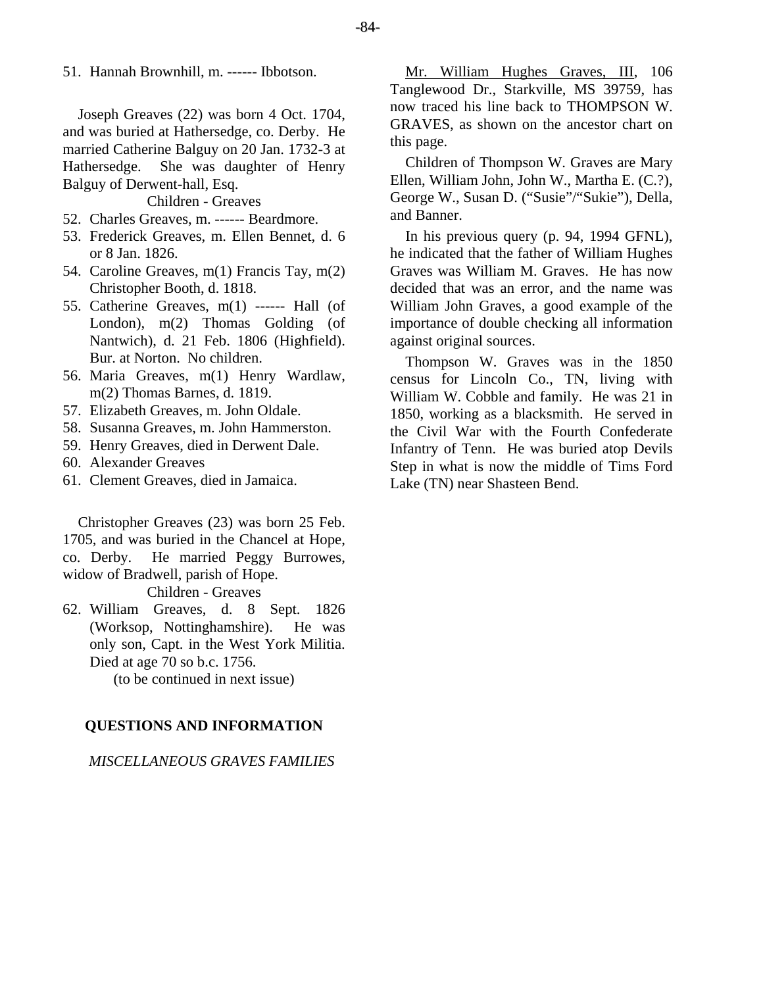51. Hannah Brownhill, m. ------ Ibbotson.

Joseph Greaves (22) was born 4 Oct. 1704, and was buried at Hathersedge, co. Derby. He married Catherine Balguy on 20 Jan. 1732-3 at Hathersedge. She was daughter of Henry Balguy of Derwent-hall, Esq.

Children - Greaves

- 52. Charles Greaves, m. ------ Beardmore.
- 53. Frederick Greaves, m. Ellen Bennet, d. 6 or 8 Jan. 1826.
- 54. Caroline Greaves, m(1) Francis Tay, m(2) Christopher Booth, d. 1818.
- 55. Catherine Greaves, m(1) ------ Hall (of London), m(2) Thomas Golding (of Nantwich), d. 21 Feb. 1806 (Highfield). Bur. at Norton. No children.
- 56. Maria Greaves, m(1) Henry Wardlaw, m(2) Thomas Barnes, d. 1819.
- 57. Elizabeth Greaves, m. John Oldale.
- 58. Susanna Greaves, m. John Hammerston.
- 59. Henry Greaves, died in Derwent Dale.
- 60. Alexander Greaves
- 61. Clement Greaves, died in Jamaica.

Christopher Greaves (23) was born 25 Feb. 1705, and was buried in the Chancel at Hope, co. Derby. He married Peggy Burrowes, widow of Bradwell, parish of Hope.

Children - Greaves

62. William Greaves, d. 8 Sept. 1826 (Worksop, Nottinghamshire). He was only son, Capt. in the West York Militia. Died at age 70 so b.c. 1756.

(to be continued in next issue)

## **QUESTIONS AND INFORMATION**

*MISCELLANEOUS GRAVES FAMILIES* 

Mr. William Hughes Graves, III, 106 Tanglewood Dr., Starkville, MS 39759, has now traced his line back to THOMPSON W. GRAVES, as shown on the ancestor chart on this page.

Children of Thompson W. Graves are Mary Ellen, William John, John W., Martha E. (C.?), George W., Susan D. ("Susie"/"Sukie"), Della, and Banner.

In his previous query (p. 94, 1994 GFNL), he indicated that the father of William Hughes Graves was William M. Graves. He has now decided that was an error, and the name was William John Graves, a good example of the importance of double checking all information against original sources.

Thompson W. Graves was in the 1850 census for Lincoln Co., TN, living with William W. Cobble and family. He was 21 in 1850, working as a blacksmith. He served in the Civil War with the Fourth Confederate Infantry of Tenn. He was buried atop Devils Step in what is now the middle of Tims Ford Lake (TN) near Shasteen Bend.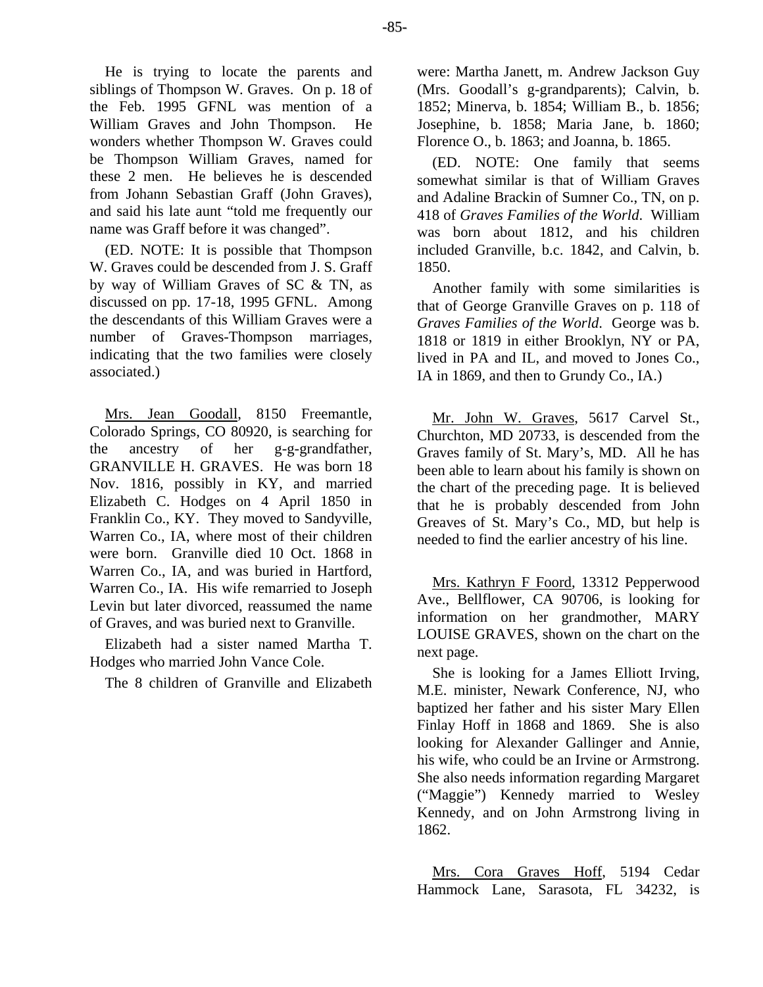He is trying to locate the parents and siblings of Thompson W. Graves. On p. 18 of the Feb. 1995 GFNL was mention of a William Graves and John Thompson. He wonders whether Thompson W. Graves could be Thompson William Graves, named for these 2 men. He believes he is descended from Johann Sebastian Graff (John Graves), and said his late aunt "told me frequently our name was Graff before it was changed".

(ED. NOTE: It is possible that Thompson W. Graves could be descended from J. S. Graff by way of William Graves of SC & TN, as discussed on pp. 17-18, 1995 GFNL. Among the descendants of this William Graves were a number of Graves-Thompson marriages, indicating that the two families were closely associated.)

Mrs. Jean Goodall, 8150 Freemantle, Colorado Springs, CO 80920, is searching for the ancestry of her g-g-grandfather, GRANVILLE H. GRAVES. He was born 18 Nov. 1816, possibly in KY, and married Elizabeth C. Hodges on 4 April 1850 in Franklin Co., KY. They moved to Sandyville, Warren Co., IA, where most of their children were born. Granville died 10 Oct. 1868 in Warren Co., IA, and was buried in Hartford, Warren Co., IA. His wife remarried to Joseph Levin but later divorced, reassumed the name of Graves, and was buried next to Granville.

Elizabeth had a sister named Martha T. Hodges who married John Vance Cole.

The 8 children of Granville and Elizabeth

were: Martha Janett, m. Andrew Jackson Guy (Mrs. Goodall's g-grandparents); Calvin, b. 1852; Minerva, b. 1854; William B., b. 1856; Josephine, b. 1858; Maria Jane, b. 1860; Florence O., b. 1863; and Joanna, b. 1865.

(ED. NOTE: One family that seems somewhat similar is that of William Graves and Adaline Brackin of Sumner Co., TN, on p. 418 of *Graves Families of the World*. William was born about 1812, and his children included Granville, b.c. 1842, and Calvin, b. 1850.

Another family with some similarities is that of George Granville Graves on p. 118 of *Graves Families of the World*. George was b. 1818 or 1819 in either Brooklyn, NY or PA, lived in PA and IL, and moved to Jones Co., IA in 1869, and then to Grundy Co., IA.)

Mr. John W. Graves, 5617 Carvel St., Churchton, MD 20733, is descended from the Graves family of St. Mary's, MD. All he has been able to learn about his family is shown on the chart of the preceding page. It is believed that he is probably descended from John Greaves of St. Mary's Co., MD, but help is needed to find the earlier ancestry of his line.

Mrs. Kathryn F Foord, 13312 Pepperwood Ave., Bellflower, CA 90706, is looking for information on her grandmother, MARY LOUISE GRAVES, shown on the chart on the next page.

She is looking for a James Elliott Irving, M.E. minister, Newark Conference, NJ, who baptized her father and his sister Mary Ellen Finlay Hoff in 1868 and 1869. She is also looking for Alexander Gallinger and Annie, his wife, who could be an Irvine or Armstrong. She also needs information regarding Margaret ("Maggie") Kennedy married to Wesley Kennedy, and on John Armstrong living in 1862.

Mrs. Cora Graves Hoff, 5194 Cedar Hammock Lane, Sarasota, FL 34232, is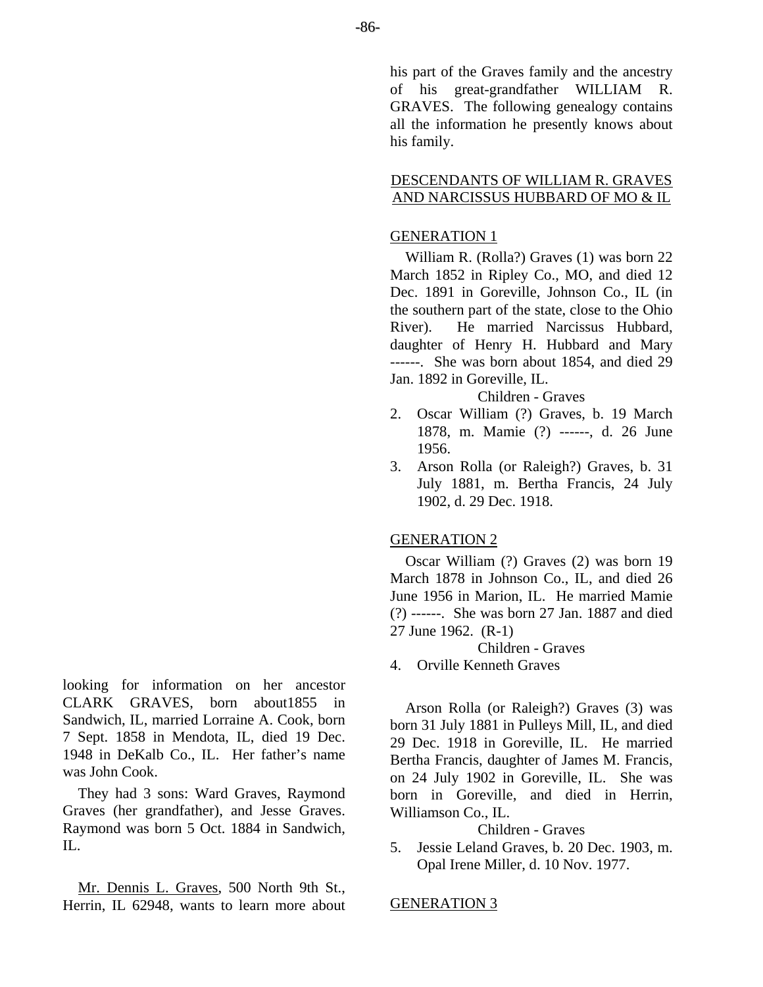his part of the Graves family and the ancestry of his great-grandfather WILLIAM R. GRAVES. The following genealogy contains all the information he presently knows about his family.

# DESCENDANTS OF WILLIAM R. GRAVES AND NARCISSUS HUBBARD OF MO & IL

# GENERATION 1

William R. (Rolla?) Graves (1) was born 22 March 1852 in Ripley Co., MO, and died 12 Dec. 1891 in Goreville, Johnson Co., IL (in the southern part of the state, close to the Ohio River). He married Narcissus Hubbard, daughter of Henry H. Hubbard and Mary ------. She was born about 1854, and died 29 Jan. 1892 in Goreville, IL.

Children - Graves

- 2. Oscar William (?) Graves, b. 19 March 1878, m. Mamie (?) ------, d. 26 June 1956.
- 3. Arson Rolla (or Raleigh?) Graves, b. 31 July 1881, m. Bertha Francis, 24 July 1902, d. 29 Dec. 1918.

# GENERATION 2

Oscar William (?) Graves (2) was born 19 March 1878 in Johnson Co., IL, and died 26 June 1956 in Marion, IL. He married Mamie (?) ------. She was born 27 Jan. 1887 and died 27 June 1962. (R-1)

Children - Graves

4. Orville Kenneth Graves

Arson Rolla (or Raleigh?) Graves (3) was born 31 July 1881 in Pulleys Mill, IL, and died 29 Dec. 1918 in Goreville, IL. He married Bertha Francis, daughter of James M. Francis, on 24 July 1902 in Goreville, IL. She was born in Goreville, and died in Herrin, Williamson Co., IL.

# Children - Graves

5. Jessie Leland Graves, b. 20 Dec. 1903, m. Opal Irene Miller, d. 10 Nov. 1977.

GENERATION 3

looking for information on her ancestor CLARK GRAVES, born about1855 in Sandwich, IL, married Lorraine A. Cook, born 7 Sept. 1858 in Mendota, IL, died 19 Dec. 1948 in DeKalb Co., IL. Her father's name was John Cook.

They had 3 sons: Ward Graves, Raymond Graves (her grandfather), and Jesse Graves. Raymond was born 5 Oct. 1884 in Sandwich,  $\Pi$ .

Mr. Dennis L. Graves, 500 North 9th St., Herrin, IL 62948, wants to learn more about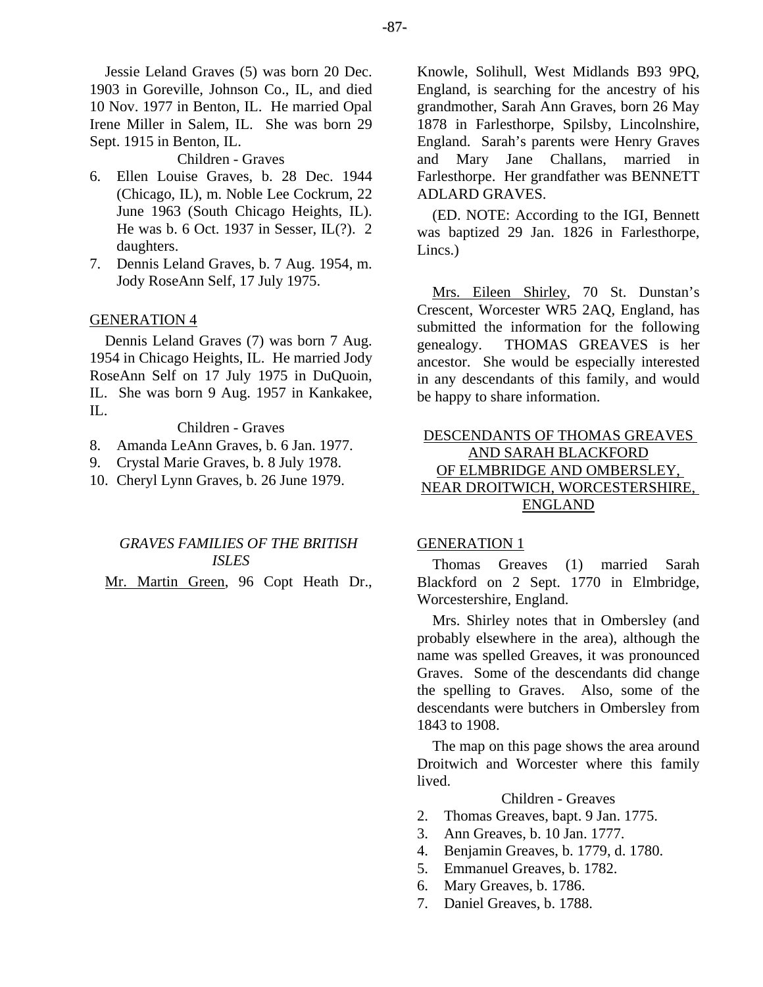-87-

Jessie Leland Graves (5) was born 20 Dec. 1903 in Goreville, Johnson Co., IL, and died 10 Nov. 1977 in Benton, IL. He married Opal Irene Miller in Salem, IL. She was born 29 Sept. 1915 in Benton, IL.

#### Children - Graves

- 6. Ellen Louise Graves, b. 28 Dec. 1944 (Chicago, IL), m. Noble Lee Cockrum, 22 June 1963 (South Chicago Heights, IL). He was b. 6 Oct. 1937 in Sesser, IL(?). 2 daughters.
- 7. Dennis Leland Graves, b. 7 Aug. 1954, m. Jody RoseAnn Self, 17 July 1975.

## GENERATION 4

Dennis Leland Graves (7) was born 7 Aug. 1954 in Chicago Heights, IL. He married Jody RoseAnn Self on 17 July 1975 in DuQuoin, IL. She was born 9 Aug. 1957 in Kankakee, IL.

Children - Graves

- 8. Amanda LeAnn Graves, b. 6 Jan. 1977.
- 9. Crystal Marie Graves, b. 8 July 1978.
- 10. Cheryl Lynn Graves, b. 26 June 1979.

# *GRAVES FAMILIES OF THE BRITISH ISLES*

Mr. Martin Green, 96 Copt Heath Dr.,

Knowle, Solihull, West Midlands B93 9PQ, England, is searching for the ancestry of his grandmother, Sarah Ann Graves, born 26 May 1878 in Farlesthorpe, Spilsby, Lincolnshire, England. Sarah's parents were Henry Graves and Mary Jane Challans, married in Farlesthorpe. Her grandfather was BENNETT ADLARD GRAVES.

(ED. NOTE: According to the IGI, Bennett was baptized 29 Jan. 1826 in Farlesthorpe, Lincs.)

Mrs. Eileen Shirley, 70 St. Dunstan's Crescent, Worcester WR5 2AQ, England, has submitted the information for the following genealogy. THOMAS GREAVES is her ancestor. She would be especially interested in any descendants of this family, and would be happy to share information.

# DESCENDANTS OF THOMAS GREAVES AND SARAH BLACKFORD OF ELMBRIDGE AND OMBERSLEY, NEAR DROITWICH, WORCESTERSHIRE, ENGLAND

## GENERATION 1

Thomas Greaves (1) married Sarah Blackford on 2 Sept. 1770 in Elmbridge, Worcestershire, England.

Mrs. Shirley notes that in Ombersley (and probably elsewhere in the area), although the name was spelled Greaves, it was pronounced Graves. Some of the descendants did change the spelling to Graves. Also, some of the descendants were butchers in Ombersley from 1843 to 1908.

The map on this page shows the area around Droitwich and Worcester where this family lived.

## Children - Greaves

- 2. Thomas Greaves, bapt. 9 Jan. 1775.
- 3. Ann Greaves, b. 10 Jan. 1777.
- 4. Benjamin Greaves, b. 1779, d. 1780.
- 5. Emmanuel Greaves, b. 1782.
- 6. Mary Greaves, b. 1786.
- 7. Daniel Greaves, b. 1788.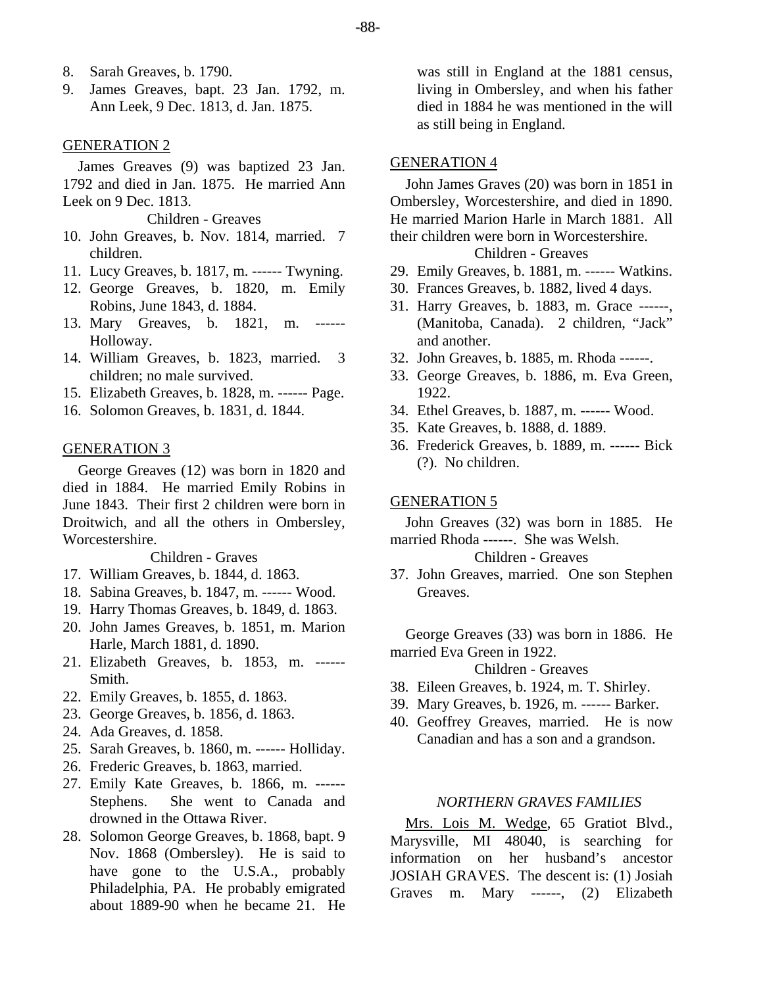- 8. Sarah Greaves, b. 1790.
- 9. James Greaves, bapt. 23 Jan. 1792, m. Ann Leek, 9 Dec. 1813, d. Jan. 1875.

#### GENERATION 2

James Greaves (9) was baptized 23 Jan. 1792 and died in Jan. 1875. He married Ann Leek on 9 Dec. 1813.

Children - Greaves

- 10. John Greaves, b. Nov. 1814, married. 7 children.
- 11. Lucy Greaves, b. 1817, m. ------ Twyning.
- 12. George Greaves, b. 1820, m. Emily Robins, June 1843, d. 1884.
- 13. Mary Greaves, b. 1821, m. Holloway.
- 14. William Greaves, b. 1823, married. 3 children; no male survived.
- 15. Elizabeth Greaves, b. 1828, m. ------ Page.
- 16. Solomon Greaves, b. 1831, d. 1844.

#### GENERATION 3

George Greaves (12) was born in 1820 and died in 1884. He married Emily Robins in June 1843. Their first 2 children were born in Droitwich, and all the others in Ombersley, Worcestershire.

Children - Graves

- 17. William Greaves, b. 1844, d. 1863.
- 18. Sabina Greaves, b. 1847, m. ------ Wood.
- 19. Harry Thomas Greaves, b. 1849, d. 1863.
- 20. John James Greaves, b. 1851, m. Marion Harle, March 1881, d. 1890.
- 21. Elizabeth Greaves, b. 1853, m. ------ Smith.
- 22. Emily Greaves, b. 1855, d. 1863.
- 23. George Greaves, b. 1856, d. 1863.
- 24. Ada Greaves, d. 1858.
- 25. Sarah Greaves, b. 1860, m. ------ Holliday.
- 26. Frederic Greaves, b. 1863, married.
- 27. Emily Kate Greaves, b. 1866, m. ------ Stephens. She went to Canada and drowned in the Ottawa River.
- 28. Solomon George Greaves, b. 1868, bapt. 9 Nov. 1868 (Ombersley). He is said to have gone to the U.S.A., probably Philadelphia, PA. He probably emigrated about 1889-90 when he became 21. He

was still in England at the 1881 census, living in Ombersley, and when his father died in 1884 he was mentioned in the will as still being in England.

## GENERATION 4

John James Graves (20) was born in 1851 in Ombersley, Worcestershire, and died in 1890. He married Marion Harle in March 1881. All their children were born in Worcestershire.

## Children - Greaves

- 29. Emily Greaves, b. 1881, m. ------ Watkins.
- 30. Frances Greaves, b. 1882, lived 4 days.
- 31. Harry Greaves, b. 1883, m. Grace ------, (Manitoba, Canada). 2 children, "Jack" and another.
- 32. John Greaves, b. 1885, m. Rhoda ------.
- 33. George Greaves, b. 1886, m. Eva Green, 1922.
- 34. Ethel Greaves, b. 1887, m. ------ Wood.
- 35. Kate Greaves, b. 1888, d. 1889.
- 36. Frederick Greaves, b. 1889, m. ------ Bick (?). No children.

#### GENERATION 5

John Greaves (32) was born in 1885. He married Rhoda ------. She was Welsh.

#### Children - Greaves

37. John Greaves, married. One son Stephen Greaves.

George Greaves (33) was born in 1886. He married Eva Green in 1922.

## Children - Greaves

- 38. Eileen Greaves, b. 1924, m. T. Shirley.
- 39. Mary Greaves, b. 1926, m. ------ Barker.
- 40. Geoffrey Greaves, married. He is now Canadian and has a son and a grandson.

# *NORTHERN GRAVES FAMILIES*

Mrs. Lois M. Wedge, 65 Gratiot Blvd., Marysville, MI 48040, is searching for information on her husband's ancestor JOSIAH GRAVES. The descent is: (1) Josiah Graves m. Mary ------, (2) Elizabeth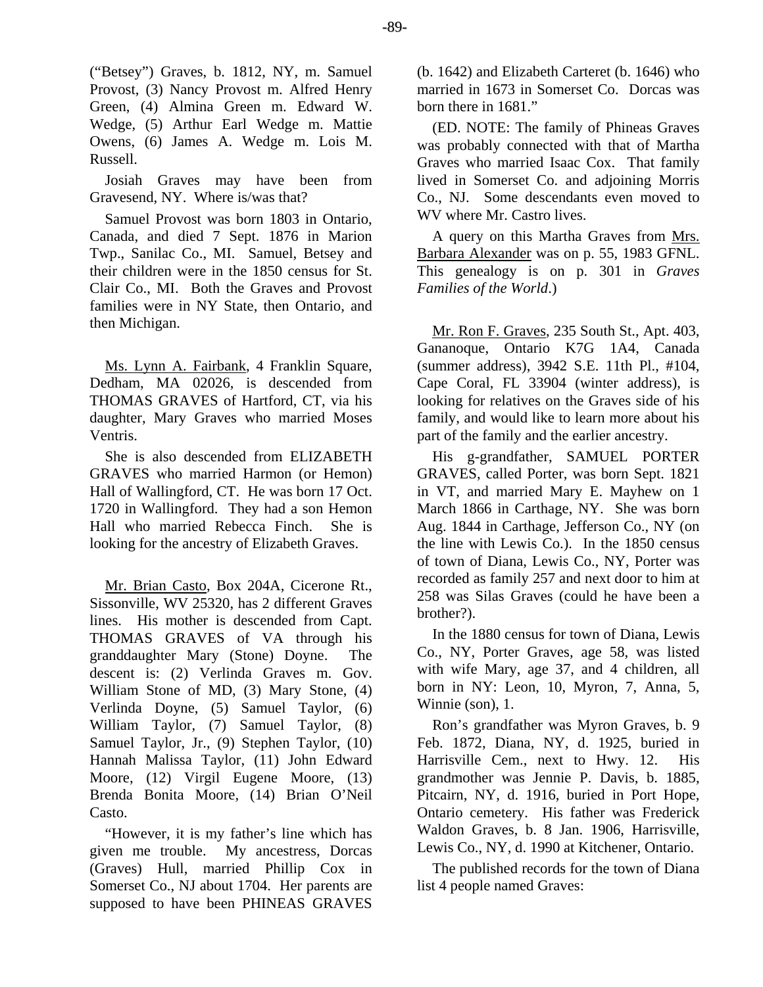("Betsey") Graves, b. 1812, NY, m. Samuel Provost, (3) Nancy Provost m. Alfred Henry Green, (4) Almina Green m. Edward W. Wedge, (5) Arthur Earl Wedge m. Mattie Owens, (6) James A. Wedge m. Lois M. Russell.

Josiah Graves may have been from Gravesend, NY. Where is/was that?

Samuel Provost was born 1803 in Ontario, Canada, and died 7 Sept. 1876 in Marion Twp., Sanilac Co., MI. Samuel, Betsey and their children were in the 1850 census for St. Clair Co., MI. Both the Graves and Provost families were in NY State, then Ontario, and then Michigan.

Ms. Lynn A. Fairbank, 4 Franklin Square, Dedham, MA 02026, is descended from THOMAS GRAVES of Hartford, CT, via his daughter, Mary Graves who married Moses Ventris.

She is also descended from ELIZABETH GRAVES who married Harmon (or Hemon) Hall of Wallingford, CT. He was born 17 Oct. 1720 in Wallingford. They had a son Hemon Hall who married Rebecca Finch. She is looking for the ancestry of Elizabeth Graves.

Mr. Brian Casto, Box 204A, Cicerone Rt., Sissonville, WV 25320, has 2 different Graves lines. His mother is descended from Capt. THOMAS GRAVES of VA through his granddaughter Mary (Stone) Doyne. The descent is: (2) Verlinda Graves m. Gov. William Stone of MD, (3) Mary Stone, (4) Verlinda Doyne, (5) Samuel Taylor, (6) William Taylor, (7) Samuel Taylor, (8) Samuel Taylor, Jr., (9) Stephen Taylor, (10) Hannah Malissa Taylor, (11) John Edward Moore, (12) Virgil Eugene Moore, (13) Brenda Bonita Moore, (14) Brian O'Neil Casto.

"However, it is my father's line which has given me trouble. My ancestress, Dorcas (Graves) Hull, married Phillip Cox in Somerset Co., NJ about 1704. Her parents are supposed to have been PHINEAS GRAVES (b. 1642) and Elizabeth Carteret (b. 1646) who married in 1673 in Somerset Co. Dorcas was born there in 1681."

(ED. NOTE: The family of Phineas Graves was probably connected with that of Martha Graves who married Isaac Cox. That family lived in Somerset Co. and adjoining Morris Co., NJ. Some descendants even moved to WV where Mr. Castro lives.

A query on this Martha Graves from Mrs. Barbara Alexander was on p. 55, 1983 GFNL. This genealogy is on p. 301 in *Graves Families of the World*.)

Mr. Ron F. Graves, 235 South St., Apt. 403, Gananoque, Ontario K7G 1A4, Canada (summer address), 3942 S.E. 11th Pl., #104, Cape Coral, FL 33904 (winter address), is looking for relatives on the Graves side of his family, and would like to learn more about his part of the family and the earlier ancestry.

His g-grandfather, SAMUEL PORTER GRAVES, called Porter, was born Sept. 1821 in VT, and married Mary E. Mayhew on 1 March 1866 in Carthage, NY. She was born Aug. 1844 in Carthage, Jefferson Co., NY (on the line with Lewis Co.). In the 1850 census of town of Diana, Lewis Co., NY, Porter was recorded as family 257 and next door to him at 258 was Silas Graves (could he have been a brother?).

In the 1880 census for town of Diana, Lewis Co., NY, Porter Graves, age 58, was listed with wife Mary, age 37, and 4 children, all born in NY: Leon, 10, Myron, 7, Anna, 5, Winnie (son), 1.

Ron's grandfather was Myron Graves, b. 9 Feb. 1872, Diana, NY, d. 1925, buried in Harrisville Cem., next to Hwy. 12. His grandmother was Jennie P. Davis, b. 1885, Pitcairn, NY, d. 1916, buried in Port Hope, Ontario cemetery. His father was Frederick Waldon Graves, b. 8 Jan. 1906, Harrisville, Lewis Co., NY, d. 1990 at Kitchener, Ontario.

The published records for the town of Diana list 4 people named Graves: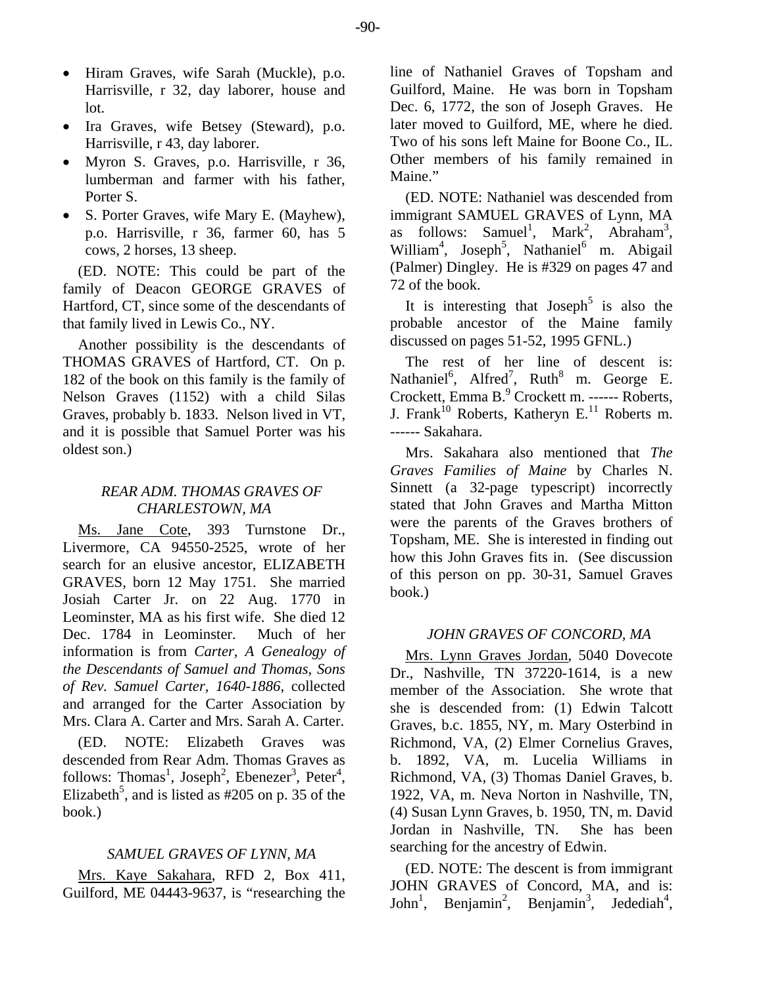- Hiram Graves, wife Sarah (Muckle), p.o. Harrisville, r 32, day laborer, house and lot.
- Ira Graves, wife Betsey (Steward), p.o. Harrisville, r 43, day laborer.
- Myron S. Graves, p.o. Harrisville, r 36, lumberman and farmer with his father, Porter S.
- S. Porter Graves, wife Mary E. (Mayhew), p.o. Harrisville, r 36, farmer 60, has 5 cows, 2 horses, 13 sheep.

(ED. NOTE: This could be part of the family of Deacon GEORGE GRAVES of Hartford, CT, since some of the descendants of that family lived in Lewis Co., NY.

Another possibility is the descendants of THOMAS GRAVES of Hartford, CT. On p. 182 of the book on this family is the family of Nelson Graves (1152) with a child Silas Graves, probably b. 1833. Nelson lived in VT, and it is possible that Samuel Porter was his oldest son.)

# *REAR ADM. THOMAS GRAVES OF CHARLESTOWN, MA*

Ms. Jane Cote, 393 Turnstone Dr., Livermore, CA 94550-2525, wrote of her search for an elusive ancestor, ELIZABETH GRAVES, born 12 May 1751. She married Josiah Carter Jr. on 22 Aug. 1770 in Leominster, MA as his first wife. She died 12 Dec. 1784 in Leominster. Much of her information is from *Carter, A Genealogy of the Descendants of Samuel and Thomas, Sons of Rev. Samuel Carter, 1640-1886*, collected and arranged for the Carter Association by Mrs. Clara A. Carter and Mrs. Sarah A. Carter.

(ED. NOTE: Elizabeth Graves was descended from Rear Adm. Thomas Graves as follows: Thomas<sup>1</sup>, Joseph<sup>2</sup>, Ebenezer<sup>3</sup>, Peter<sup>4</sup>, Elizabeth<sup>5</sup>, and is listed as  $\#205$  on p. 35 of the book.)

# *SAMUEL GRAVES OF LYNN, MA*

Mrs. Kaye Sakahara, RFD 2, Box 411, Guilford, ME 04443-9637, is "researching the line of Nathaniel Graves of Topsham and Guilford, Maine. He was born in Topsham Dec. 6, 1772, the son of Joseph Graves. He later moved to Guilford, ME, where he died. Two of his sons left Maine for Boone Co., IL. Other members of his family remained in Maine."

(ED. NOTE: Nathaniel was descended from immigrant SAMUEL GRAVES of Lynn, MA as follows: Samuel<sup>1</sup>, Mark<sup>2</sup>, Abraham<sup>3</sup>, William<sup>4</sup>, Joseph<sup>5</sup>, Nathaniel<sup>6</sup> m. Abigail (Palmer) Dingley. He is #329 on pages 47 and 72 of the book.

It is interesting that  $Joseph<sup>5</sup>$  is also the probable ancestor of the Maine family discussed on pages 51-52, 1995 GFNL.)

The rest of her line of descent is: Nathaniel<sup>6</sup>, Alfred<sup>7</sup>, Ruth<sup>8</sup> m. George E. Crockett, Emma B.<sup>9</sup> Crockett m. ------ Roberts, J. Frank<sup>10</sup> Roberts, Katheryn E.<sup>11</sup> Roberts m. ------ Sakahara.

Mrs. Sakahara also mentioned that *The Graves Families of Maine* by Charles N. Sinnett (a 32-page typescript) incorrectly stated that John Graves and Martha Mitton were the parents of the Graves brothers of Topsham, ME. She is interested in finding out how this John Graves fits in. (See discussion of this person on pp. 30-31, Samuel Graves book.)

#### *JOHN GRAVES OF CONCORD, MA*

Mrs. Lynn Graves Jordan, 5040 Dovecote Dr., Nashville, TN 37220-1614, is a new member of the Association. She wrote that she is descended from: (1) Edwin Talcott Graves, b.c. 1855, NY, m. Mary Osterbind in Richmond, VA, (2) Elmer Cornelius Graves, b. 1892, VA, m. Lucelia Williams in Richmond, VA, (3) Thomas Daniel Graves, b. 1922, VA, m. Neva Norton in Nashville, TN, (4) Susan Lynn Graves, b. 1950, TN, m. David Jordan in Nashville, TN. She has been searching for the ancestry of Edwin.

(ED. NOTE: The descent is from immigrant JOHN GRAVES of Concord, MA, and is: John<sup>1</sup>, Benjamin<sup>2</sup>, Benjamin<sup>3</sup>, Jedediah<sup>4</sup>,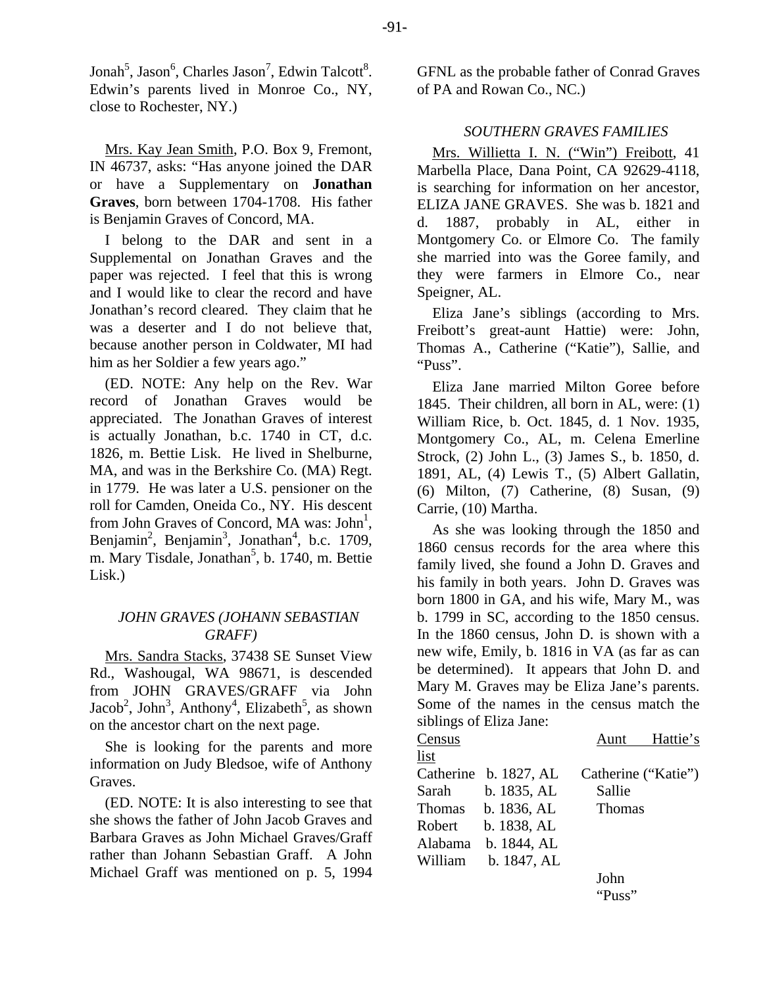Jonah<sup>5</sup>, Jason<sup>6</sup>, Charles Jason<sup>7</sup>, Edwin Talcott<sup>8</sup>. Edwin's parents lived in Monroe Co., NY, close to Rochester, NY.)

Mrs. Kay Jean Smith, P.O. Box 9, Fremont, IN 46737, asks: "Has anyone joined the DAR or have a Supplementary on **Jonathan Graves**, born between 1704-1708. His father is Benjamin Graves of Concord, MA.

I belong to the DAR and sent in a Supplemental on Jonathan Graves and the paper was rejected. I feel that this is wrong and I would like to clear the record and have Jonathan's record cleared. They claim that he was a deserter and I do not believe that, because another person in Coldwater, MI had him as her Soldier a few years ago."

(ED. NOTE: Any help on the Rev. War record of Jonathan Graves would be appreciated. The Jonathan Graves of interest is actually Jonathan, b.c. 1740 in CT, d.c. 1826, m. Bettie Lisk. He lived in Shelburne, MA, and was in the Berkshire Co. (MA) Regt. in 1779. He was later a U.S. pensioner on the roll for Camden, Oneida Co., NY. His descent from John Graves of Concord, MA was: John<sup>1</sup>, Benjamin<sup>2</sup>, Benjamin<sup>3</sup>, Jonathan<sup>4</sup>, b.c. 1709, m. Mary Tisdale, Jonathan<sup>5</sup>, b. 1740, m. Bettie Lisk.)

# *JOHN GRAVES (JOHANN SEBASTIAN GRAFF)*

Mrs. Sandra Stacks, 37438 SE Sunset View Rd., Washougal, WA 98671, is descended from JOHN GRAVES/GRAFF via John Jacob<sup>2</sup>, John<sup>3</sup>, Anthony<sup>4</sup>, Elizabeth<sup>5</sup>, as shown on the ancestor chart on the next page.

She is looking for the parents and more information on Judy Bledsoe, wife of Anthony Graves.

(ED. NOTE: It is also interesting to see that she shows the father of John Jacob Graves and Barbara Graves as John Michael Graves/Graff rather than Johann Sebastian Graff. A John Michael Graff was mentioned on p. 5, 1994 GFNL as the probable father of Conrad Graves of PA and Rowan Co., NC.)

# *SOUTHERN GRAVES FAMILIES*

Mrs. Willietta I. N. ("Win") Freibott, 41 Marbella Place, Dana Point, CA 92629-4118, is searching for information on her ancestor, ELIZA JANE GRAVES. She was b. 1821 and d. 1887, probably in AL, either in Montgomery Co. or Elmore Co. The family she married into was the Goree family, and they were farmers in Elmore Co., near Speigner, AL.

Eliza Jane's siblings (according to Mrs. Freibott's great-aunt Hattie) were: John, Thomas A., Catherine ("Katie"), Sallie, and "Puss".

Eliza Jane married Milton Goree before 1845. Their children, all born in AL, were: (1) William Rice, b. Oct. 1845, d. 1 Nov. 1935, Montgomery Co., AL, m. Celena Emerline Strock, (2) John L., (3) James S., b. 1850, d. 1891, AL, (4) Lewis T., (5) Albert Gallatin, (6) Milton, (7) Catherine, (8) Susan, (9) Carrie, (10) Martha.

As she was looking through the 1850 and 1860 census records for the area where this family lived, she found a John D. Graves and his family in both years. John D. Graves was born 1800 in GA, and his wife, Mary M., was b. 1799 in SC, according to the 1850 census. In the 1860 census, John D. is shown with a new wife, Emily, b. 1816 in VA (as far as can be determined). It appears that John D. and Mary M. Graves may be Eliza Jane's parents. Some of the names in the census match the siblings of Eliza Jane:

| Census  |                       |                     | Aunt Hattie's |
|---------|-----------------------|---------------------|---------------|
| list    |                       |                     |               |
|         | Catherine b. 1827, AL | Catherine ("Katie") |               |
|         | Sarah b. 1835, AL     | Sallie              |               |
|         | Thomas b. 1836, AL    | <b>Thomas</b>       |               |
| Robert  | b. 1838, AL           |                     |               |
| Alabama | b. 1844, AL           |                     |               |
| William | b. 1847, AL           |                     |               |
|         |                       | John                |               |
|         |                       | "Puss"              |               |
|         |                       |                     |               |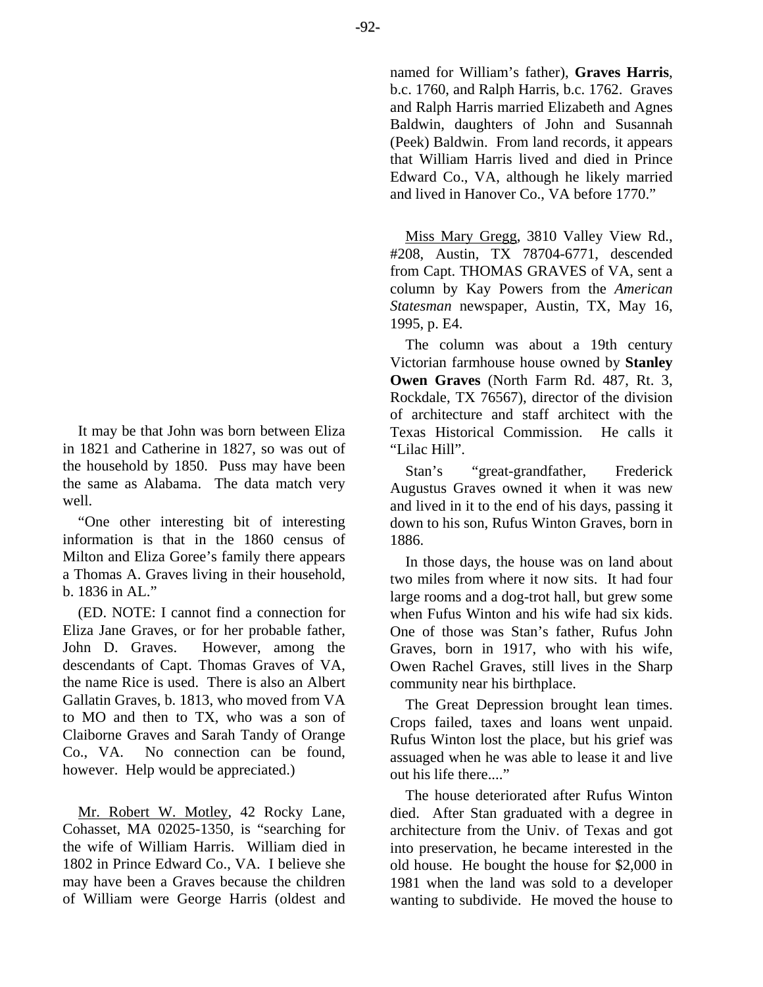-92-

It may be that John was born between Eliza in 1821 and Catherine in 1827, so was out of the household by 1850. Puss may have been the same as Alabama. The data match very well.

"One other interesting bit of interesting information is that in the 1860 census of Milton and Eliza Goree's family there appears a Thomas A. Graves living in their household, b. 1836 in AL."

(ED. NOTE: I cannot find a connection for Eliza Jane Graves, or for her probable father, John D. Graves. However, among the descendants of Capt. Thomas Graves of VA, the name Rice is used. There is also an Albert Gallatin Graves, b. 1813, who moved from VA to MO and then to TX, who was a son of Claiborne Graves and Sarah Tandy of Orange Co., VA. No connection can be found, however. Help would be appreciated.)

Mr. Robert W. Motley, 42 Rocky Lane, Cohasset, MA 02025-1350, is "searching for the wife of William Harris. William died in 1802 in Prince Edward Co., VA. I believe she may have been a Graves because the children of William were George Harris (oldest and

named for William's father), **Graves Harris**, b.c. 1760, and Ralph Harris, b.c. 1762. Graves and Ralph Harris married Elizabeth and Agnes Baldwin, daughters of John and Susannah (Peek) Baldwin. From land records, it appears that William Harris lived and died in Prince Edward Co., VA, although he likely married and lived in Hanover Co., VA before 1770."

Miss Mary Gregg, 3810 Valley View Rd., #208, Austin, TX 78704-6771, descended from Capt. THOMAS GRAVES of VA, sent a column by Kay Powers from the *American Statesman* newspaper, Austin, TX, May 16, 1995, p. E4.

The column was about a 19th century Victorian farmhouse house owned by **Stanley Owen Graves** (North Farm Rd. 487, Rt. 3, Rockdale, TX 76567), director of the division of architecture and staff architect with the Texas Historical Commission. He calls it "Lilac Hill".

Stan's "great-grandfather, Frederick Augustus Graves owned it when it was new and lived in it to the end of his days, passing it down to his son, Rufus Winton Graves, born in 1886.

In those days, the house was on land about two miles from where it now sits. It had four large rooms and a dog-trot hall, but grew some when Fufus Winton and his wife had six kids. One of those was Stan's father, Rufus John Graves, born in 1917, who with his wife, Owen Rachel Graves, still lives in the Sharp community near his birthplace.

The Great Depression brought lean times. Crops failed, taxes and loans went unpaid. Rufus Winton lost the place, but his grief was assuaged when he was able to lease it and live out his life there...."

The house deteriorated after Rufus Winton died. After Stan graduated with a degree in architecture from the Univ. of Texas and got into preservation, he became interested in the old house. He bought the house for \$2,000 in 1981 when the land was sold to a developer wanting to subdivide. He moved the house to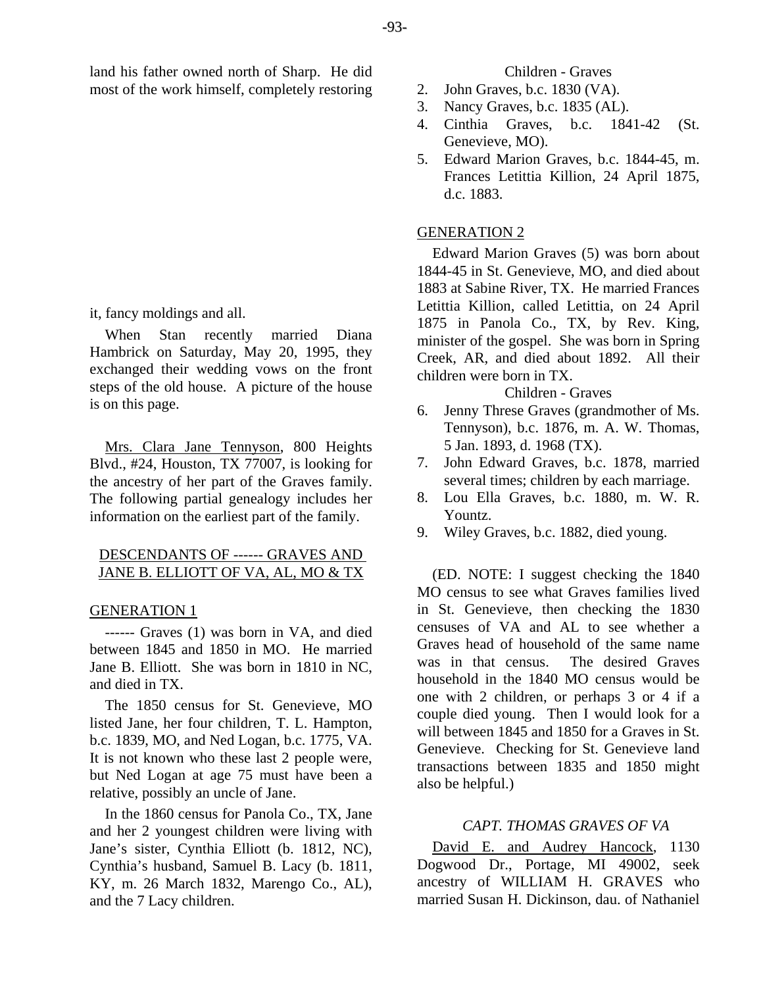land his father owned north of Sharp. He did most of the work himself, completely restoring

it, fancy moldings and all.

When Stan recently married Diana Hambrick on Saturday, May 20, 1995, they exchanged their wedding vows on the front steps of the old house. A picture of the house is on this page.

Mrs. Clara Jane Tennyson, 800 Heights Blvd., #24, Houston, TX 77007, is looking for the ancestry of her part of the Graves family. The following partial genealogy includes her information on the earliest part of the family.

# DESCENDANTS OF ------ GRAVES AND JANE B. ELLIOTT OF VA, AL, MO & TX

# GENERATION 1

------ Graves (1) was born in VA, and died between 1845 and 1850 in MO. He married Jane B. Elliott. She was born in 1810 in NC, and died in TX.

The 1850 census for St. Genevieve, MO listed Jane, her four children, T. L. Hampton, b.c. 1839, MO, and Ned Logan, b.c. 1775, VA. It is not known who these last 2 people were, but Ned Logan at age 75 must have been a relative, possibly an uncle of Jane.

In the 1860 census for Panola Co., TX, Jane and her 2 youngest children were living with Jane's sister, Cynthia Elliott (b. 1812, NC), Cynthia's husband, Samuel B. Lacy (b. 1811, KY, m. 26 March 1832, Marengo Co., AL), and the 7 Lacy children.

## Children - Graves

- 2. John Graves, b.c. 1830 (VA).
- 3. Nancy Graves, b.c. 1835 (AL).
- 4. Cinthia Graves, b.c. 1841-42 (St. Genevieve, MO).
- 5. Edward Marion Graves, b.c. 1844-45, m. Frances Letittia Killion, 24 April 1875, d.c. 1883.

## GENERATION 2

Edward Marion Graves (5) was born about 1844-45 in St. Genevieve, MO, and died about 1883 at Sabine River, TX. He married Frances Letittia Killion, called Letittia, on 24 April 1875 in Panola Co., TX, by Rev. King, minister of the gospel. She was born in Spring Creek, AR, and died about 1892. All their children were born in TX.

## Children - Graves

- 6. Jenny Threse Graves (grandmother of Ms. Tennyson), b.c. 1876, m. A. W. Thomas, 5 Jan. 1893, d. 1968 (TX).
- 7. John Edward Graves, b.c. 1878, married several times; children by each marriage.
- 8. Lou Ella Graves, b.c. 1880, m. W. R. Yountz.
- 9. Wiley Graves, b.c. 1882, died young.

(ED. NOTE: I suggest checking the 1840 MO census to see what Graves families lived in St. Genevieve, then checking the 1830 censuses of VA and AL to see whether a Graves head of household of the same name was in that census. The desired Graves household in the 1840 MO census would be one with 2 children, or perhaps 3 or 4 if a couple died young. Then I would look for a will between 1845 and 1850 for a Graves in St. Genevieve. Checking for St. Genevieve land transactions between 1835 and 1850 might also be helpful.)

#### *CAPT. THOMAS GRAVES OF VA*

David E. and Audrey Hancock, 1130 Dogwood Dr., Portage, MI 49002, seek ancestry of WILLIAM H. GRAVES who married Susan H. Dickinson, dau. of Nathaniel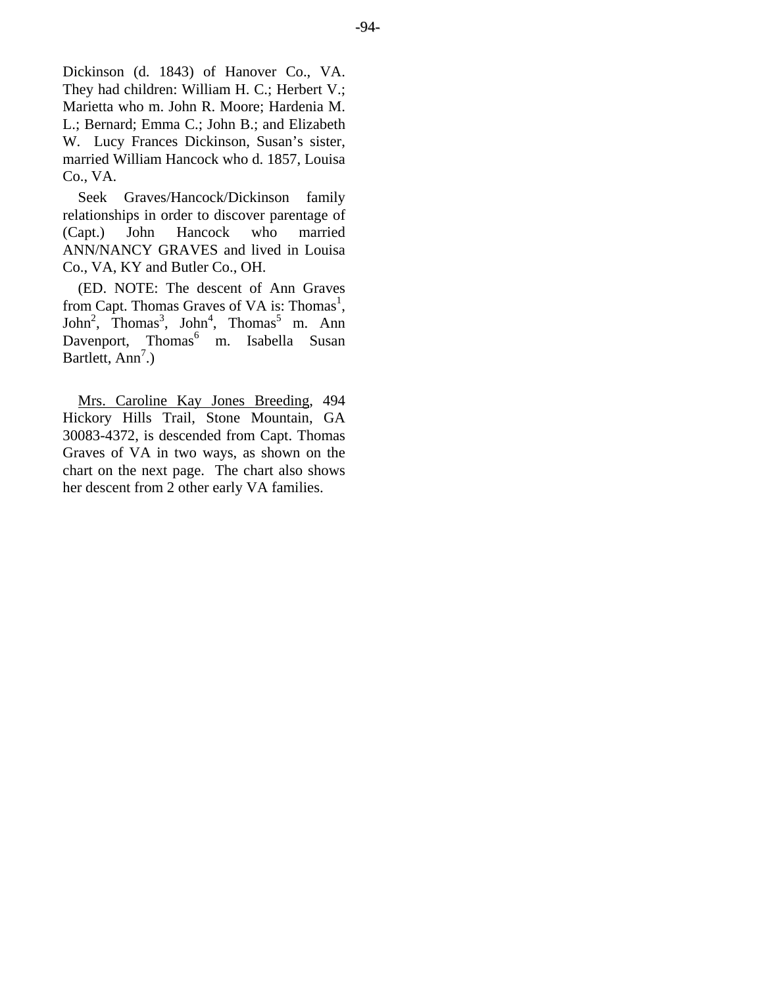Dickinson (d. 1843) of Hanover Co., VA. They had children: William H. C.; Herbert V.; Marietta who m. John R. Moore; Hardenia M. L.; Bernard; Emma C.; John B.; and Elizabeth W. Lucy Frances Dickinson, Susan's sister, married William Hancock who d. 1857, Louisa Co., VA.

Seek Graves/Hancock/Dickinson family relationships in order to discover parentage of (Capt.) John Hancock who married ANN/NANCY GRAVES and lived in Louisa Co., VA, KY and Butler Co., OH.

(ED. NOTE: The descent of Ann Graves from Capt. Thomas Graves of VA is: Thomas<sup>1</sup>,  $John<sup>2</sup>$ , Thomas<sup>3</sup>, John<sup>4</sup>, Thomas<sup>5</sup> m. Ann Davenport, Thomas<sup>6</sup> m. Isabella Susan Bartlett, Ann<sup>7</sup>.)

Mrs. Caroline Kay Jones Breeding, 494 Hickory Hills Trail, Stone Mountain, GA 30083-4372, is descended from Capt. Thomas Graves of VA in two ways, as shown on the chart on the next page. The chart also shows her descent from 2 other early VA families.